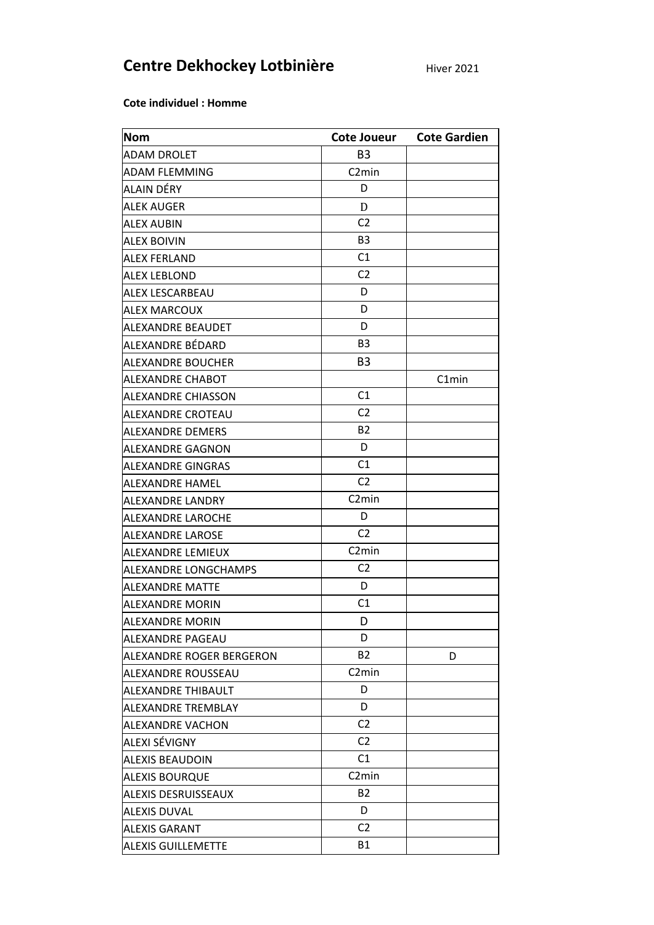## Centre Dekhockey Lotbinière

**Hiver 2021** 

Cote individuel : Homme

| <b>Nom</b>                 | Cote Joueur        | <b>Cote Gardien</b> |
|----------------------------|--------------------|---------------------|
| ADAM DROLET                | B <sub>3</sub>     |                     |
| <b>ADAM FLEMMING</b>       | C <sub>2</sub> min |                     |
| ALAIN DÉRY                 | D                  |                     |
| <b>ALEK AUGER</b>          | D                  |                     |
| <b>ALEX AUBIN</b>          | C <sub>2</sub>     |                     |
| <b>ALEX BOIVIN</b>         | B <sub>3</sub>     |                     |
| <b>ALEX FERLAND</b>        | C1                 |                     |
| <b>ALEX LEBLOND</b>        | C <sub>2</sub>     |                     |
| ALEX LESCARBEAU            | D                  |                     |
| <b>ALEX MARCOUX</b>        | D                  |                     |
| ALEXANDRE BEAUDET          | D                  |                     |
| ALEXANDRE BÉDARD           | B <sub>3</sub>     |                     |
| <b>ALEXANDRE BOUCHER</b>   | B <sub>3</sub>     |                     |
| ALEXANDRE CHABOT           |                    | C1min               |
| ALEXANDRE CHIASSON         | C1                 |                     |
| ALEXANDRE CROTEAU          | C <sub>2</sub>     |                     |
| <b>ALEXANDRE DEMERS</b>    | <b>B2</b>          |                     |
| ALEXANDRE GAGNON           | D                  |                     |
| ALEXANDRE GINGRAS          | C1                 |                     |
| ALEXANDRE HAMEL            | C <sub>2</sub>     |                     |
| ALEXANDRE LANDRY           | C <sub>2</sub> min |                     |
| ALEXANDRE LAROCHE          | D                  |                     |
| <b>ALEXANDRE LAROSE</b>    | C <sub>2</sub>     |                     |
| ALEXANDRE LEMIEUX          | C <sub>2</sub> min |                     |
| ALEXANDRE LONGCHAMPS       | C <sub>2</sub>     |                     |
| <b>ALEXANDRE MATTE</b>     | D                  |                     |
| ALEXANDRE MORIN            | C1                 |                     |
| <b>ALEXANDRE MORIN</b>     | D                  |                     |
| ALEXANDRE PAGEAU           | D                  |                     |
| ALEXANDRE ROGER BERGERON   | <b>B2</b>          | D                   |
| <b>ALEXANDRE ROUSSEAU</b>  | C <sub>2</sub> min |                     |
| ALEXANDRE THIBAULT         | D                  |                     |
| <b>ALEXANDRE TREMBLAY</b>  | D                  |                     |
| <b>ALEXANDRE VACHON</b>    | C <sub>2</sub>     |                     |
| ALEXI SÉVIGNY              | C <sub>2</sub>     |                     |
| <b>ALEXIS BEAUDOIN</b>     | C1                 |                     |
| <b>ALEXIS BOURQUE</b>      | C <sub>2</sub> min |                     |
| <b>ALEXIS DESRUISSEAUX</b> | <b>B2</b>          |                     |
| <b>ALEXIS DUVAL</b>        | D                  |                     |
| <b>ALEXIS GARANT</b>       | C2                 |                     |
| <b>ALEXIS GUILLEMETTE</b>  | <b>B1</b>          |                     |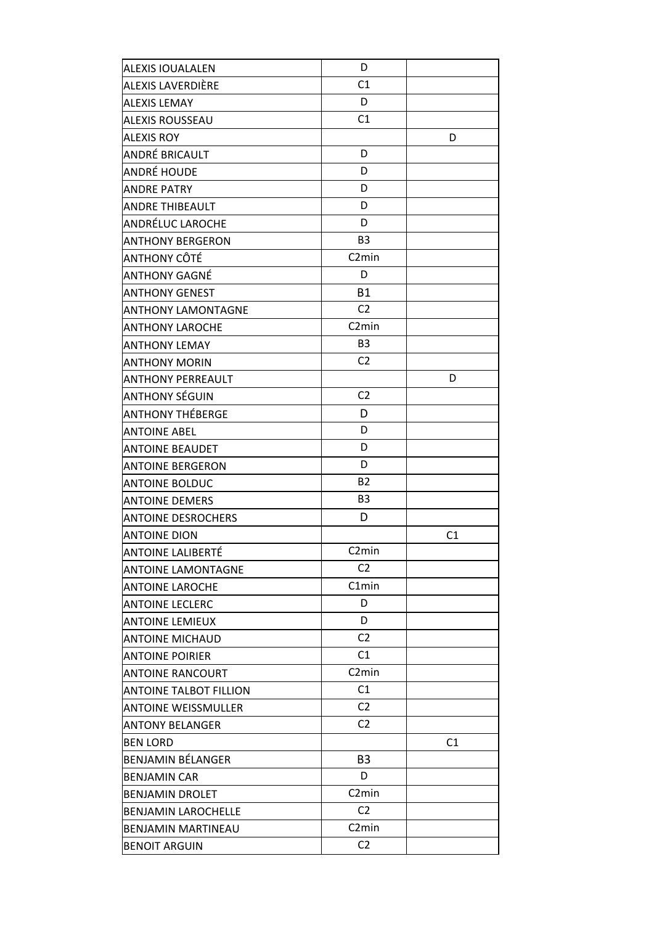| <b>ALEXIS IOUALALEN</b>       | D                  |                |
|-------------------------------|--------------------|----------------|
| ALEXIS LAVERDIÈRE             | C1                 |                |
| <b>ALEXIS LEMAY</b>           | D                  |                |
| ALEXIS ROUSSEAU               | C1                 |                |
| <b>ALEXIS ROY</b>             |                    | D              |
| ANDRÉ BRICAULT                | D                  |                |
| ANDRÉ HOUDE                   | D                  |                |
| <b>ANDRE PATRY</b>            | D                  |                |
| <b>ANDRE THIBEAULT</b>        | D                  |                |
| ANDRÉLUC LAROCHE              | D                  |                |
| <b>ANTHONY BERGERON</b>       | B <sub>3</sub>     |                |
| ANTHONY CÔTÉ                  | C <sub>2</sub> min |                |
| <b>ANTHONY GAGNÉ</b>          | D                  |                |
| <b>ANTHONY GENEST</b>         | <b>B1</b>          |                |
| <b>ANTHONY LAMONTAGNE</b>     | C <sub>2</sub>     |                |
| <b>ANTHONY LAROCHE</b>        | C <sub>2</sub> min |                |
| <b>ANTHONY LEMAY</b>          | B <sub>3</sub>     |                |
| <b>ANTHONY MORIN</b>          | C <sub>2</sub>     |                |
| <b>ANTHONY PERREAULT</b>      |                    | D              |
| ANTHONY SÉGUIN                | C <sub>2</sub>     |                |
| <b>ANTHONY THÉBERGE</b>       | D                  |                |
| <b>ANTOINE ABEL</b>           | D                  |                |
| <b>ANTOINE BEAUDET</b>        | D                  |                |
| <b>ANTOINE BERGERON</b>       | D                  |                |
| <b>ANTOINE BOLDUC</b>         | <b>B2</b>          |                |
| <b>ANTOINE DEMERS</b>         | B <sub>3</sub>     |                |
| <b>ANTOINE DESROCHERS</b>     | D                  |                |
| <b>ANTOINE DION</b>           |                    | C <sub>1</sub> |
| ANTOINE LALIBERTÉ             | C <sub>2</sub> min |                |
| <b>ANTOINE LAMONTAGNE</b>     | C <sub>2</sub>     |                |
| <b>ANTOINE LAROCHE</b>        | C1min              |                |
| <b>ANTOINE LECLERC</b>        | D                  |                |
| <b>ANTOINE LEMIEUX</b>        | D                  |                |
| <b>ANTOINE MICHAUD</b>        | C <sub>2</sub>     |                |
| <b>ANTOINE POIRIER</b>        | C1                 |                |
| ANTOINE RANCOURT              | C <sub>2</sub> min |                |
| <b>ANTOINE TALBOT FILLION</b> | C1                 |                |
| <b>ANTOINE WEISSMULLER</b>    | C <sub>2</sub>     |                |
| ANTONY BELANGER               | C <sub>2</sub>     |                |
| <b>BEN LORD</b>               |                    | C1             |
| BENJAMIN BÉLANGER             | B <sub>3</sub>     |                |
| <b>BENJAMIN CAR</b>           | D                  |                |
| <b>BENJAMIN DROLET</b>        | C <sub>2</sub> min |                |
| <b>BENJAMIN LAROCHELLE</b>    | C <sub>2</sub>     |                |
| BENJAMIN MARTINEAU            | C <sub>2</sub> min |                |
| <b>BENOIT ARGUIN</b>          | C <sub>2</sub>     |                |
|                               |                    |                |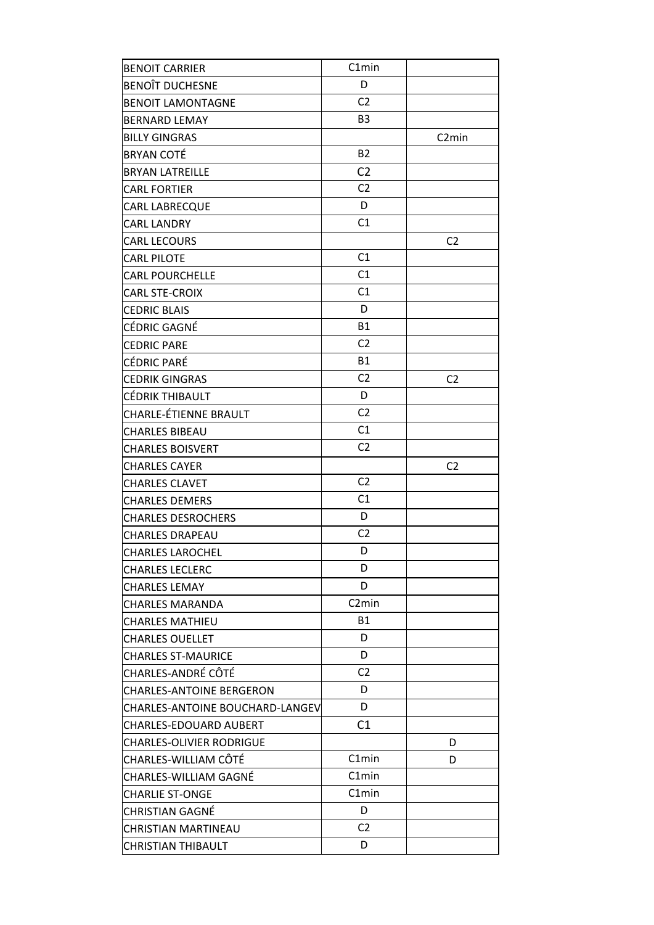| <b>BENOIT CARRIER</b>                  | C1min              |                    |
|----------------------------------------|--------------------|--------------------|
| <b>BENOIT DUCHESNE</b>                 | D                  |                    |
| <b>BENOIT LAMONTAGNE</b>               | C <sub>2</sub>     |                    |
| <b>BERNARD LEMAY</b>                   | B <sub>3</sub>     |                    |
| <b>BILLY GINGRAS</b>                   |                    | C <sub>2</sub> min |
| <b>BRYAN COTÉ</b>                      | <b>B2</b>          |                    |
| <b>BRYAN LATREILLE</b>                 | C <sub>2</sub>     |                    |
| <b>CARL FORTIER</b>                    | C <sub>2</sub>     |                    |
| CARL LABRECQUE                         | D                  |                    |
| <b>CARL LANDRY</b>                     | C1                 |                    |
| <b>CARL LECOURS</b>                    |                    | C <sub>2</sub>     |
| <b>CARL PILOTE</b>                     | C1                 |                    |
| <b>CARL POURCHELLE</b>                 | C1                 |                    |
| CARL STE-CROIX                         | C1                 |                    |
| <b>CEDRIC BLAIS</b>                    | D                  |                    |
| CÉDRIC GAGNÉ                           | <b>B1</b>          |                    |
| <b>CEDRIC PARE</b>                     | C <sub>2</sub>     |                    |
| CÉDRIC PARÉ                            | <b>B1</b>          |                    |
| <b>CEDRIK GINGRAS</b>                  | C <sub>2</sub>     | C <sub>2</sub>     |
| CÉDRIK THIBAULT                        | D                  |                    |
| CHARLE-ÉTIENNE BRAULT                  | C <sub>2</sub>     |                    |
| <b>CHARLES BIBEAU</b>                  | C1                 |                    |
| <b>CHARLES BOISVERT</b>                | C <sub>2</sub>     |                    |
| <b>CHARLES CAYER</b>                   |                    | C <sub>2</sub>     |
| <b>CHARLES CLAVET</b>                  | C <sub>2</sub>     |                    |
| <b>CHARLES DEMERS</b>                  | C1                 |                    |
| <b>CHARLES DESROCHERS</b>              | D                  |                    |
| <b>CHARLES DRAPEAU</b>                 | C <sub>2</sub>     |                    |
| CHARLES LAROCHEL                       | D                  |                    |
| <b>CHARLES LECLERC</b>                 | D                  |                    |
| <b>CHARLES LEMAY</b>                   | D                  |                    |
| <b>CHARLES MARANDA</b>                 | C <sub>2</sub> min |                    |
| <b>CHARLES MATHIEU</b>                 | <b>B1</b>          |                    |
| <b>CHARLES OUELLET</b>                 | D                  |                    |
| <b>CHARLES ST-MAURICE</b>              | D                  |                    |
| CHARLES-ANDRÉ CÔTÉ                     | C <sub>2</sub>     |                    |
| <b>CHARLES-ANTOINE BERGERON</b>        | D                  |                    |
| <b>CHARLES-ANTOINE BOUCHARD-LANGEV</b> | D                  |                    |
| CHARLES-EDOUARD AUBERT                 | C1                 |                    |
| <b>CHARLES-OLIVIER RODRIGUE</b>        |                    | D                  |
| CHARLES-WILLIAM CÔTÉ                   | C1min              | D                  |
| CHARLES-WILLIAM GAGNÉ                  | C1min              |                    |
| <b>CHARLIE ST-ONGE</b>                 | C1min              |                    |
| <b>CHRISTIAN GAGNÉ</b>                 | D                  |                    |
| <b>CHRISTIAN MARTINEAU</b>             | C <sub>2</sub>     |                    |
| <b>CHRISTIAN THIBAULT</b>              | D                  |                    |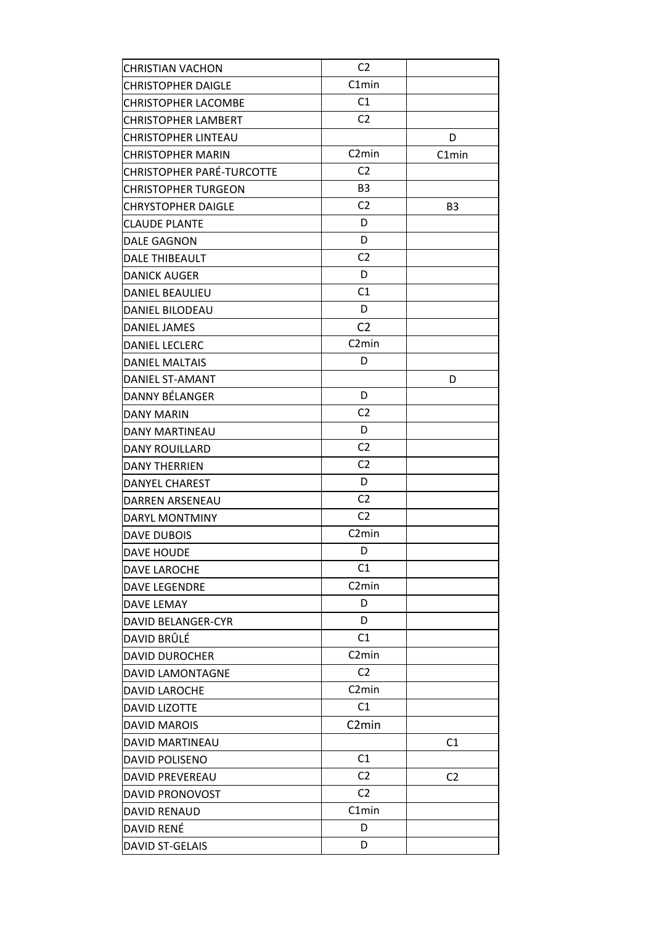| <b>CHRISTIAN VACHON</b>    | C2                 |                |
|----------------------------|--------------------|----------------|
| <b>CHRISTOPHER DAIGLE</b>  | C1min              |                |
| <b>CHRISTOPHER LACOMBE</b> | C1                 |                |
| <b>CHRISTOPHER LAMBERT</b> | C <sub>2</sub>     |                |
| <b>CHRISTOPHER LINTEAU</b> |                    | D              |
| <b>CHRISTOPHER MARIN</b>   | C <sub>2</sub> min | C1min          |
| CHRISTOPHER PARÉ-TURCOTTE  | C <sub>2</sub>     |                |
| <b>CHRISTOPHER TURGEON</b> | B <sub>3</sub>     |                |
| <b>CHRYSTOPHER DAIGLE</b>  | C <sub>2</sub>     | B <sub>3</sub> |
| <b>CLAUDE PLANTE</b>       | D                  |                |
| <b>DALE GAGNON</b>         | D                  |                |
| DALE THIBEAULT             | C <sub>2</sub>     |                |
| <b>DANICK AUGER</b>        | D                  |                |
| <b>DANIEL BEAULIEU</b>     | C1                 |                |
| <b>DANIEL BILODEAU</b>     | D                  |                |
| <b>DANIEL JAMES</b>        | C <sub>2</sub>     |                |
| <b>DANIEL LECLERC</b>      | C <sub>2</sub> min |                |
| <b>DANIEL MALTAIS</b>      | D                  |                |
| DANIEL ST-AMANT            |                    | D              |
| DANNY BÉLANGER             | D                  |                |
| <b>DANY MARIN</b>          | C <sub>2</sub>     |                |
| <b>DANY MARTINEAU</b>      | D                  |                |
| <b>DANY ROUILLARD</b>      | C <sub>2</sub>     |                |
| <b>DANY THERRIEN</b>       | C <sub>2</sub>     |                |
| DANYEL CHAREST             | D                  |                |
| <b>DARREN ARSENEAU</b>     | C <sub>2</sub>     |                |
| DARYL MONTMINY             | C <sub>2</sub>     |                |
| <b>DAVE DUBOIS</b>         | C <sub>2</sub> min |                |
| DAVE HOUDE                 | D                  |                |
| <b>DAVE LAROCHE</b>        | C1                 |                |
| <b>DAVE LEGENDRE</b>       | C <sub>2</sub> min |                |
| <b>DAVE LEMAY</b>          | D                  |                |
| <b>DAVID BELANGER-CYR</b>  | D                  |                |
| DAVID BRÛLÉ                | C1                 |                |
| <b>DAVID DUROCHER</b>      | C <sub>2</sub> min |                |
| DAVID LAMONTAGNE           | C <sub>2</sub>     |                |
| <b>DAVID LAROCHE</b>       | C <sub>2</sub> min |                |
| <b>DAVID LIZOTTE</b>       | C1                 |                |
| <b>DAVID MAROIS</b>        | C <sub>2</sub> min |                |
| DAVID MARTINEAU            |                    | C1             |
| <b>DAVID POLISENO</b>      | C1                 |                |
| DAVID PREVEREAU            | C <sub>2</sub>     | C <sub>2</sub> |
| DAVID PRONOVOST            | C <sub>2</sub>     |                |
| <b>DAVID RENAUD</b>        | C1min              |                |
| DAVID RENÉ                 | D                  |                |
| <b>DAVID ST-GELAIS</b>     | D                  |                |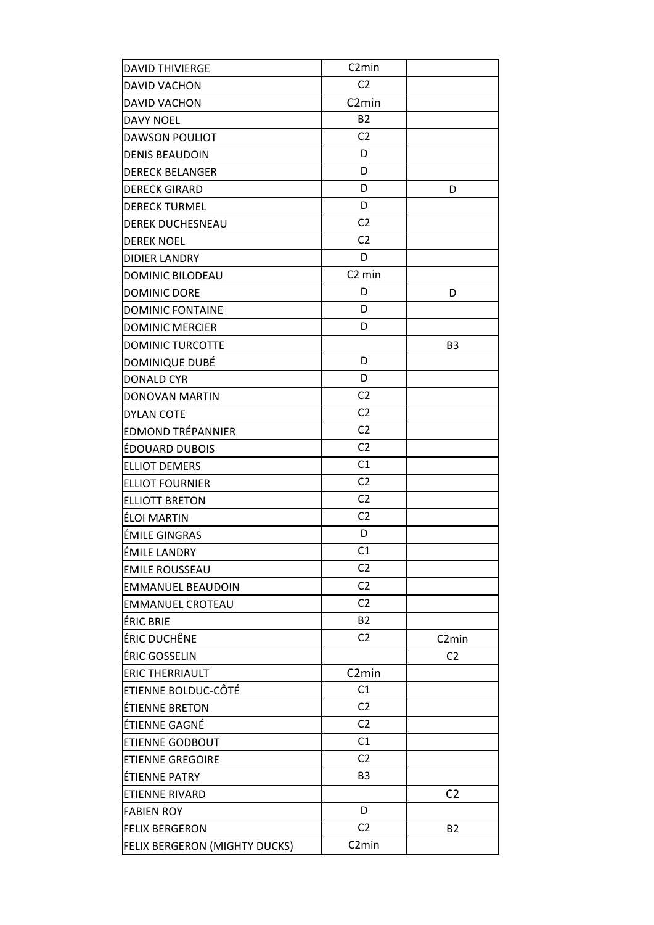| <b>DAVID THIVIERGE</b>        | C <sub>2</sub> min |                    |
|-------------------------------|--------------------|--------------------|
| <b>DAVID VACHON</b>           | C <sub>2</sub>     |                    |
| DAVID VACHON                  | C <sub>2</sub> min |                    |
| <b>DAVY NOEL</b>              | <b>B2</b>          |                    |
| <b>DAWSON POULIOT</b>         | C <sub>2</sub>     |                    |
| <b>DENIS BEAUDOIN</b>         | D                  |                    |
| <b>DERECK BELANGER</b>        | D                  |                    |
| <b>DERECK GIRARD</b>          | D                  | D                  |
| <b>DERECK TURMEL</b>          | D                  |                    |
| DEREK DUCHESNEAU              | C <sub>2</sub>     |                    |
| <b>DEREK NOEL</b>             | C <sub>2</sub>     |                    |
| <b>DIDIER LANDRY</b>          | D                  |                    |
| DOMINIC BILODEAU              | C <sub>2</sub> min |                    |
| <b>DOMINIC DORE</b>           | D                  | D                  |
| <b>DOMINIC FONTAINE</b>       | D                  |                    |
| <b>DOMINIC MERCIER</b>        | D                  |                    |
| <b>DOMINIC TURCOTTE</b>       |                    | B <sub>3</sub>     |
| DOMINIQUE DUBÉ                | D                  |                    |
| <b>DONALD CYR</b>             | D                  |                    |
| DONOVAN MARTIN                | C <sub>2</sub>     |                    |
| <b>DYLAN COTE</b>             | C <sub>2</sub>     |                    |
| EDMOND TRÉPANNIER             | C <sub>2</sub>     |                    |
| ÉDOUARD DUBOIS                | C <sub>2</sub>     |                    |
| <b>ELLIOT DEMERS</b>          | C1                 |                    |
| <b>ELLIOT FOURNIER</b>        | C <sub>2</sub>     |                    |
| <b>ELLIOTT BRETON</b>         | C <sub>2</sub>     |                    |
| ÉLOI MARTIN                   | C <sub>2</sub>     |                    |
| ÉMILE GINGRAS                 | D                  |                    |
| ÉMILE LANDRY                  | C1                 |                    |
| <b>EMILE ROUSSEAU</b>         | C2                 |                    |
| <b>EMMANUEL BEAUDOIN</b>      | C <sub>2</sub>     |                    |
| <b>EMMANUEL CROTEAU</b>       | C <sub>2</sub>     |                    |
| ÉRIC BRIE                     | <b>B2</b>          |                    |
| ÉRIC DUCHÊNE                  | C <sub>2</sub>     | C <sub>2</sub> min |
| ÉRIC GOSSELIN                 |                    | C <sub>2</sub>     |
| <b>ERIC THERRIAULT</b>        | C <sub>2</sub> min |                    |
| ETIENNE BOLDUC-CÔTÉ           | C1                 |                    |
| ÉTIENNE BRETON                | C <sub>2</sub>     |                    |
| ÉTIENNE GAGNÉ                 | C <sub>2</sub>     |                    |
| <b>ETIENNE GODBOUT</b>        | C1                 |                    |
| <b>ETIENNE GREGOIRE</b>       | C <sub>2</sub>     |                    |
| ÉTIENNE PATRY                 | B <sub>3</sub>     |                    |
| ETIENNE RIVARD                |                    | C <sub>2</sub>     |
| <b>FABIEN ROY</b>             | D                  |                    |
| <b>FELIX BERGERON</b>         | C <sub>2</sub>     | <b>B2</b>          |
| FELIX BERGERON (MIGHTY DUCKS) | C <sub>2</sub> min |                    |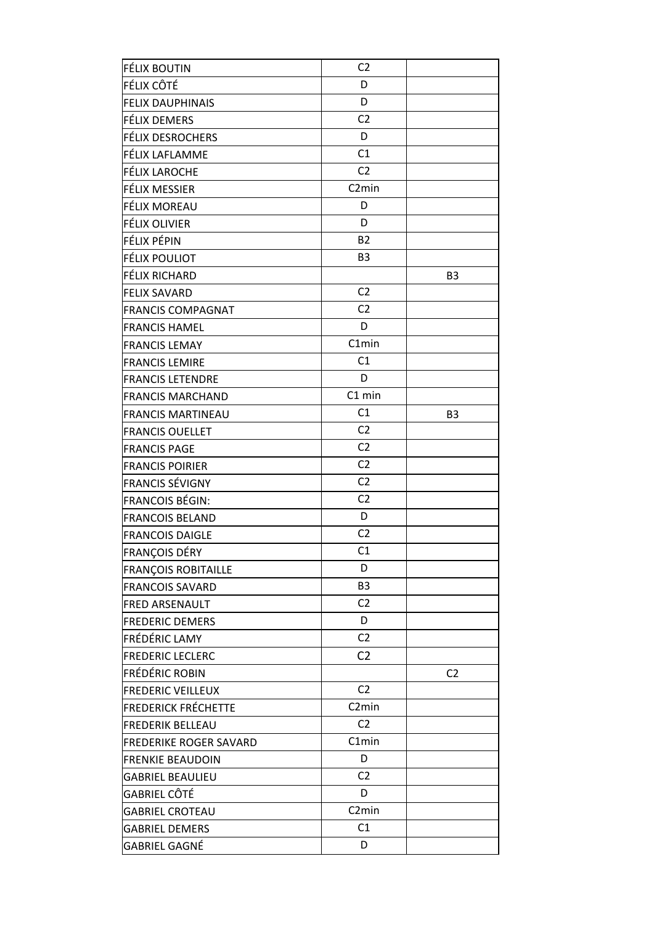| FÉLIX BOUTIN               | C <sub>2</sub>     |                |
|----------------------------|--------------------|----------------|
| FÉLIX CÔTÉ                 | D                  |                |
| <b>FELIX DAUPHINAIS</b>    | D                  |                |
| FÉLIX DEMERS               | C <sub>2</sub>     |                |
| <b>FÉLIX DESROCHERS</b>    | D                  |                |
| FÉLIX LAFLAMME             | C1                 |                |
| FÉLIX LAROCHE              | C <sub>2</sub>     |                |
| FÉLIX MESSIER              | C <sub>2</sub> min |                |
| FÉLIX MOREAU               | D                  |                |
| FÉLIX OLIVIER              | D                  |                |
| FÉLIX PÉPIN                | <b>B2</b>          |                |
| FÉLIX POULIOT              | B <sub>3</sub>     |                |
| FÉLIX RICHARD              |                    | B <sub>3</sub> |
| <b>FELIX SAVARD</b>        | C <sub>2</sub>     |                |
| <b>FRANCIS COMPAGNAT</b>   | C <sub>2</sub>     |                |
| <b>FRANCIS HAMEL</b>       | D                  |                |
| <b>FRANCIS LEMAY</b>       | C1min              |                |
| <b>FRANCIS LEMIRE</b>      | C1                 |                |
| <b>FRANCIS LETENDRE</b>    | D                  |                |
| <b>FRANCIS MARCHAND</b>    | C1 min             |                |
| <b>FRANCIS MARTINEAU</b>   | C1                 | B <sub>3</sub> |
| <b>FRANCIS OUELLET</b>     | C <sub>2</sub>     |                |
| <b>FRANCIS PAGE</b>        | C <sub>2</sub>     |                |
| <b>FRANCIS POIRIER</b>     | C <sub>2</sub>     |                |
| <b>FRANCIS SÉVIGNY</b>     | C <sub>2</sub>     |                |
| <b>FRANCOIS BÉGIN:</b>     | C <sub>2</sub>     |                |
| <b>FRANCOIS BELAND</b>     | D                  |                |
| <b>FRANCOIS DAIGLE</b>     | C <sub>2</sub>     |                |
| FRANÇOIS DÉRY              | C1                 |                |
| <b>FRANÇOIS ROBITAILLE</b> | D                  |                |
| <b>FRANCOIS SAVARD</b>     | B <sub>3</sub>     |                |
| <b>FRED ARSENAULT</b>      | C <sub>2</sub>     |                |
| <b>FREDERIC DEMERS</b>     | D                  |                |
| FRÉDÉRIC LAMY              | C <sub>2</sub>     |                |
| <b>FREDERIC LECLERC</b>    | C <sub>2</sub>     |                |
| <b>FRÉDÉRIC ROBIN</b>      |                    | C <sub>2</sub> |
| <b>FREDERIC VEILLEUX</b>   | C <sub>2</sub>     |                |
| <b>FREDERICK FRÉCHETTE</b> | C <sub>2</sub> min |                |
| <b>FREDERIK BELLEAU</b>    | C <sub>2</sub>     |                |
| FREDERIKE ROGER SAVARD     | C1min              |                |
| <b>FRENKIE BEAUDOIN</b>    | D                  |                |
| <b>GABRIEL BEAULIEU</b>    | C <sub>2</sub>     |                |
| GABRIEL CÔTÉ               | D                  |                |
| <b>GABRIEL CROTEAU</b>     | C <sub>2</sub> min |                |
| <b>GABRIEL DEMERS</b>      | C1                 |                |
| GABRIEL GAGNÉ              | D                  |                |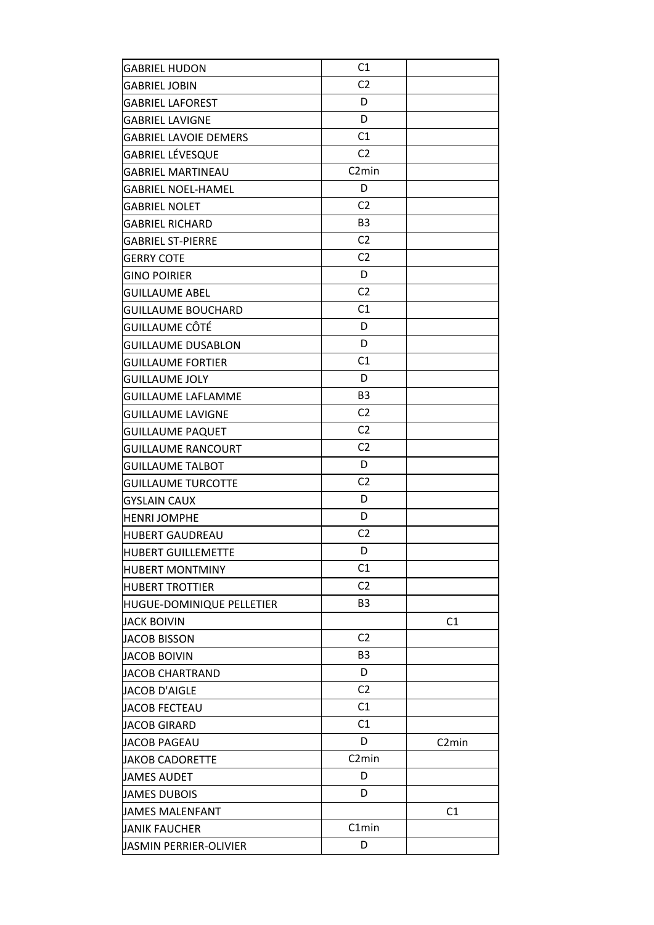| <b>GABRIEL HUDON</b>          | C1                 |                    |
|-------------------------------|--------------------|--------------------|
| GABRIEL JOBIN                 | C <sub>2</sub>     |                    |
| <b>GABRIEL LAFOREST</b>       | D                  |                    |
| <b>GABRIEL LAVIGNE</b>        | D                  |                    |
| <b>GABRIEL LAVOIE DEMERS</b>  | C1                 |                    |
| GABRIEL LÉVESQUE              | C <sub>2</sub>     |                    |
| <b>GABRIEL MARTINEAU</b>      | C <sub>2</sub> min |                    |
| <b>GABRIEL NOEL-HAMEL</b>     | D                  |                    |
| <b>GABRIEL NOLET</b>          | C <sub>2</sub>     |                    |
| <b>GABRIEL RICHARD</b>        | B <sub>3</sub>     |                    |
| <b>GABRIEL ST-PIERRE</b>      | C <sub>2</sub>     |                    |
| <b>GERRY COTE</b>             | C <sub>2</sub>     |                    |
| <b>GINO POIRIER</b>           | D                  |                    |
| <b>GUILLAUME ABEL</b>         | C <sub>2</sub>     |                    |
| <b>GUILLAUME BOUCHARD</b>     | C1                 |                    |
| GUILLAUME CÔTÉ                | D                  |                    |
| <b>GUILLAUME DUSABLON</b>     | D                  |                    |
| <b>GUILLAUME FORTIER</b>      | C1                 |                    |
| <b>GUILLAUME JOLY</b>         | D                  |                    |
| GUILLAUME LAFLAMME            | B <sub>3</sub>     |                    |
| <b>GUILLAUME LAVIGNE</b>      | C <sub>2</sub>     |                    |
| <b>GUILLAUME PAQUET</b>       | C <sub>2</sub>     |                    |
| <b>GUILLAUME RANCOURT</b>     | C <sub>2</sub>     |                    |
| <b>GUILLAUME TALBOT</b>       | D                  |                    |
| <b>GUILLAUME TURCOTTE</b>     | C <sub>2</sub>     |                    |
| <b>GYSLAIN CAUX</b>           | D                  |                    |
| <b>HENRI JOMPHE</b>           | D                  |                    |
| <b>HUBERT GAUDREAU</b>        | C <sub>2</sub>     |                    |
| <b>HUBERT GUILLEMETTE</b>     | D                  |                    |
| <b>HUBERT MONTMINY</b>        | C1                 |                    |
| <b>HUBERT TROTTIER</b>        | C <sub>2</sub>     |                    |
| HUGUE-DOMINIQUE PELLETIER     | B3                 |                    |
| <b>JACK BOIVIN</b>            |                    | C1                 |
| <b>JACOB BISSON</b>           | C <sub>2</sub>     |                    |
| <b>JACOB BOIVIN</b>           | B3                 |                    |
| JACOB CHARTRAND               | D                  |                    |
| <b>JACOB D'AIGLE</b>          | C <sub>2</sub>     |                    |
| <b>JACOB FECTEAU</b>          | C <sub>1</sub>     |                    |
| <b>JACOB GIRARD</b>           | C1                 |                    |
| <b>JACOB PAGEAU</b>           | D                  | C <sub>2</sub> min |
| JAKOB CADORETTE               | C <sub>2</sub> min |                    |
| <b>JAMES AUDET</b>            | D                  |                    |
| <b>JAMES DUBOIS</b>           | D                  |                    |
| JAMES MALENFANT               |                    | C <sub>1</sub>     |
| JANIK FAUCHER                 | C1min              |                    |
| <b>JASMIN PERRIER-OLIVIER</b> | D                  |                    |
|                               |                    |                    |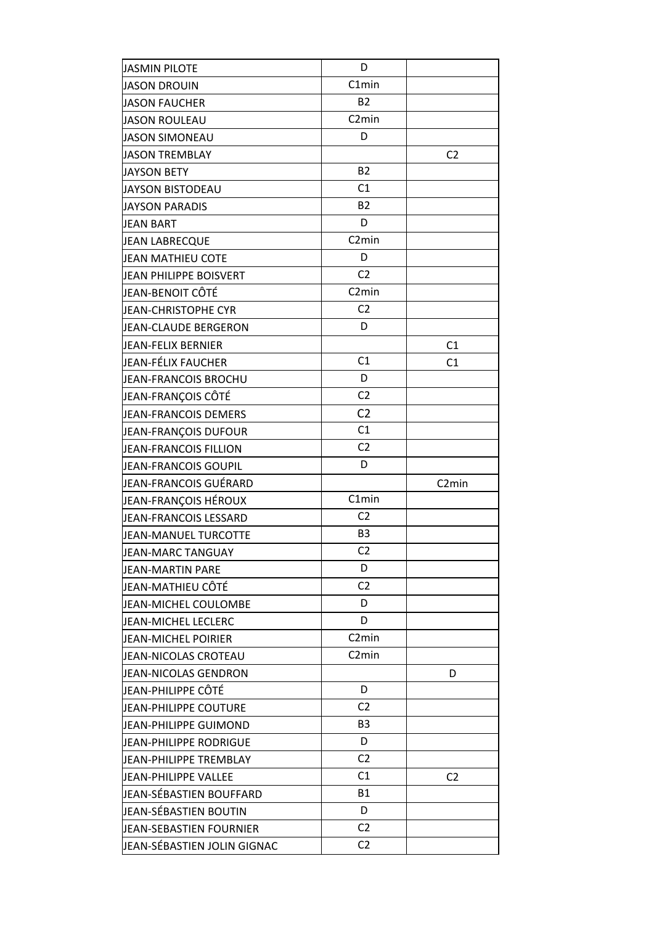| <b>JASMIN PILOTE</b>         | D                  |                    |
|------------------------------|--------------------|--------------------|
| <b>JASON DROUIN</b>          | C1min              |                    |
| <b>JASON FAUCHER</b>         | <b>B2</b>          |                    |
| <b>JASON ROULEAU</b>         | C <sub>2</sub> min |                    |
| <b>JASON SIMONEAU</b>        | D                  |                    |
| <b>JASON TREMBLAY</b>        |                    | C <sub>2</sub>     |
| <b>JAYSON BETY</b>           | <b>B2</b>          |                    |
| <b>JAYSON BISTODEAU</b>      | C1                 |                    |
| <b>JAYSON PARADIS</b>        | <b>B2</b>          |                    |
| <b>JEAN BART</b>             | D                  |                    |
| <b>JEAN LABRECQUE</b>        | C <sub>2</sub> min |                    |
| <b>JEAN MATHIEU COTE</b>     | D                  |                    |
| JEAN PHILIPPE BOISVERT       | C <sub>2</sub>     |                    |
| JEAN-BENOIT CÔTÉ             | C <sub>2</sub> min |                    |
| <b>JEAN-CHRISTOPHE CYR</b>   | C <sub>2</sub>     |                    |
| <b>JEAN-CLAUDE BERGERON</b>  | D                  |                    |
| <b>JEAN-FELIX BERNIER</b>    |                    | C1                 |
| JEAN-FÉLIX FAUCHER           | C1                 | C1                 |
| JEAN-FRANCOIS BROCHU         | D                  |                    |
| JEAN-FRANÇOIS CÔTÉ           | C <sub>2</sub>     |                    |
| JEAN-FRANCOIS DEMERS         | C <sub>2</sub>     |                    |
| JEAN-FRANÇOIS DUFOUR         | C1                 |                    |
| <b>JEAN-FRANCOIS FILLION</b> | C <sub>2</sub>     |                    |
| JEAN-FRANCOIS GOUPIL         | D                  |                    |
| JEAN-FRANCOIS GUÉRARD        |                    | C <sub>2</sub> min |
| JEAN-FRANÇOIS HÉROUX         | C1min              |                    |
| JEAN-FRANCOIS LESSARD        | C <sub>2</sub>     |                    |
| JEAN-MANUEL TURCOTTE         | B <sub>3</sub>     |                    |
| <b>JEAN-MARC TANGUAY</b>     | C <sub>2</sub>     |                    |
| JEAN-MARTIN PARE             | D                  |                    |
| JEAN-MATHIEU CÔTÉ            | C <sub>2</sub>     |                    |
| JEAN-MICHEL COULOMBE         | D                  |                    |
| JEAN-MICHEL LECLERC          | D                  |                    |
| JEAN-MICHEL POIRIER          | C <sub>2</sub> min |                    |
| JEAN-NICOLAS CROTEAU         | C <sub>2</sub> min |                    |
| JEAN-NICOLAS GENDRON         |                    | D                  |
| JEAN-PHILIPPE CÔTÉ           | D                  |                    |
| JEAN-PHILIPPE COUTURE        | C <sub>2</sub>     |                    |
| JEAN-PHILIPPE GUIMOND        | B <sub>3</sub>     |                    |
| JEAN-PHILIPPE RODRIGUE       | D                  |                    |
| JEAN-PHILIPPE TREMBLAY       | C <sub>2</sub>     |                    |
| JEAN-PHILIPPE VALLEE         | C1                 | C <sub>2</sub>     |
| JEAN-SÉBASTIEN BOUFFARD      | B1                 |                    |
| JEAN-SÉBASTIEN BOUTIN        |                    |                    |
|                              | D                  |                    |
| JEAN-SEBASTIEN FOURNIER      | C <sub>2</sub>     |                    |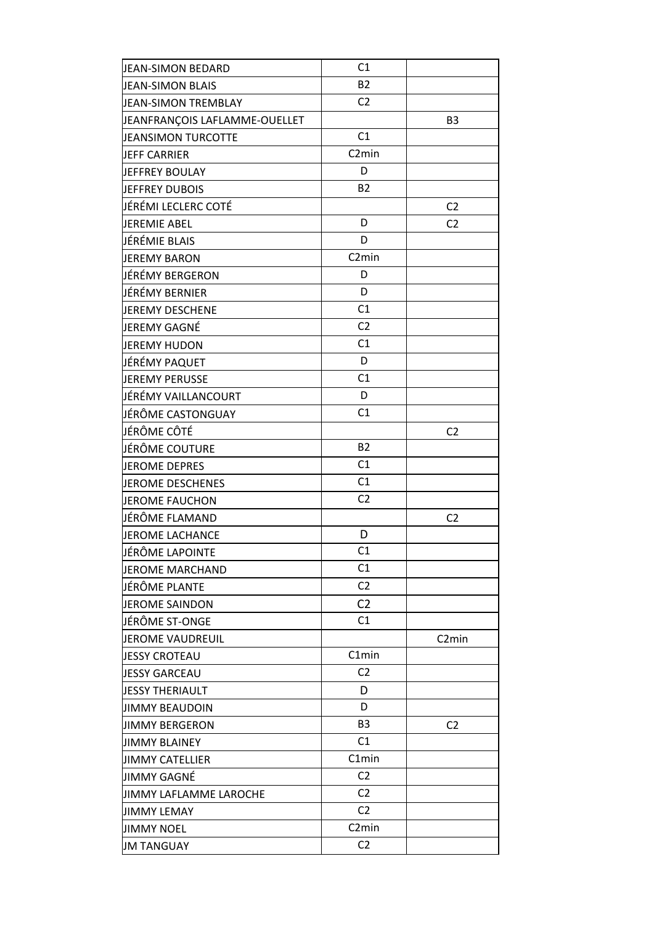| <b>B2</b><br><b>JEAN-SIMON BLAIS</b><br>C <sub>2</sub><br><b>JEAN-SIMON TREMBLAY</b><br>JEANFRANÇOIS LAFLAMME-OUELLET<br>B <sub>3</sub><br>C1<br><b>JEANSIMON TURCOTTE</b><br>C <sub>2</sub> min<br><b>JEFF CARRIER</b><br>D<br>JEFFREY BOULAY<br><b>B2</b><br>JEFFREY DUBOIS<br>JÉRÉMI LECLERC COTÉ<br>C <sub>2</sub><br>D<br><b>JEREMIE ABEL</b><br>C <sub>2</sub><br>D<br>JÉRÉMIE BLAIS<br>C <sub>2</sub> min<br><b>JEREMY BARON</b><br>JÉRÉMY BERGERON<br>D<br>D<br>JÉRÉMY BERNIER<br>C1<br>JEREMY DESCHENE<br>C <sub>2</sub><br>JEREMY GAGNÉ<br>C1<br><b>JEREMY HUDON</b><br>D<br>JÉRÉMY PAQUET<br>C1<br><b>JEREMY PERUSSE</b><br>D<br>JÉRÉMY VAILLANCOURT<br>C1<br>JÉRÔME CASTONGUAY<br>JÉRÔME CÔTÉ<br>C <sub>2</sub><br><b>B2</b><br>JÉRÔME COUTURE<br>C1<br><b>JEROME DEPRES</b><br>C1<br><b>JEROME DESCHENES</b><br>C <sub>2</sub><br><b>JEROME FAUCHON</b><br>JÉRÔME FLAMAND<br>C <sub>2</sub><br><b>JEROME LACHANCE</b><br>D<br>JÉRÔME LAPOINTE<br>C1<br>C1<br><b>JEROME MARCHAND</b><br>C <sub>2</sub><br>JÉRÔME PLANTE<br>C <sub>2</sub><br><b>JEROME SAINDON</b><br>C1<br>JÉRÔME ST-ONGE<br><b>JEROME VAUDREUIL</b><br>C <sub>2</sub> min<br>C1min<br><b>JESSY CROTEAU</b><br>C <sub>2</sub><br><b>JESSY GARCEAU</b> |
|------------------------------------------------------------------------------------------------------------------------------------------------------------------------------------------------------------------------------------------------------------------------------------------------------------------------------------------------------------------------------------------------------------------------------------------------------------------------------------------------------------------------------------------------------------------------------------------------------------------------------------------------------------------------------------------------------------------------------------------------------------------------------------------------------------------------------------------------------------------------------------------------------------------------------------------------------------------------------------------------------------------------------------------------------------------------------------------------------------------------------------------------------------------------------------------------------------------------------------|
|                                                                                                                                                                                                                                                                                                                                                                                                                                                                                                                                                                                                                                                                                                                                                                                                                                                                                                                                                                                                                                                                                                                                                                                                                                    |
|                                                                                                                                                                                                                                                                                                                                                                                                                                                                                                                                                                                                                                                                                                                                                                                                                                                                                                                                                                                                                                                                                                                                                                                                                                    |
|                                                                                                                                                                                                                                                                                                                                                                                                                                                                                                                                                                                                                                                                                                                                                                                                                                                                                                                                                                                                                                                                                                                                                                                                                                    |
|                                                                                                                                                                                                                                                                                                                                                                                                                                                                                                                                                                                                                                                                                                                                                                                                                                                                                                                                                                                                                                                                                                                                                                                                                                    |
|                                                                                                                                                                                                                                                                                                                                                                                                                                                                                                                                                                                                                                                                                                                                                                                                                                                                                                                                                                                                                                                                                                                                                                                                                                    |
|                                                                                                                                                                                                                                                                                                                                                                                                                                                                                                                                                                                                                                                                                                                                                                                                                                                                                                                                                                                                                                                                                                                                                                                                                                    |
|                                                                                                                                                                                                                                                                                                                                                                                                                                                                                                                                                                                                                                                                                                                                                                                                                                                                                                                                                                                                                                                                                                                                                                                                                                    |
|                                                                                                                                                                                                                                                                                                                                                                                                                                                                                                                                                                                                                                                                                                                                                                                                                                                                                                                                                                                                                                                                                                                                                                                                                                    |
|                                                                                                                                                                                                                                                                                                                                                                                                                                                                                                                                                                                                                                                                                                                                                                                                                                                                                                                                                                                                                                                                                                                                                                                                                                    |
|                                                                                                                                                                                                                                                                                                                                                                                                                                                                                                                                                                                                                                                                                                                                                                                                                                                                                                                                                                                                                                                                                                                                                                                                                                    |
|                                                                                                                                                                                                                                                                                                                                                                                                                                                                                                                                                                                                                                                                                                                                                                                                                                                                                                                                                                                                                                                                                                                                                                                                                                    |
|                                                                                                                                                                                                                                                                                                                                                                                                                                                                                                                                                                                                                                                                                                                                                                                                                                                                                                                                                                                                                                                                                                                                                                                                                                    |
|                                                                                                                                                                                                                                                                                                                                                                                                                                                                                                                                                                                                                                                                                                                                                                                                                                                                                                                                                                                                                                                                                                                                                                                                                                    |
|                                                                                                                                                                                                                                                                                                                                                                                                                                                                                                                                                                                                                                                                                                                                                                                                                                                                                                                                                                                                                                                                                                                                                                                                                                    |
|                                                                                                                                                                                                                                                                                                                                                                                                                                                                                                                                                                                                                                                                                                                                                                                                                                                                                                                                                                                                                                                                                                                                                                                                                                    |
|                                                                                                                                                                                                                                                                                                                                                                                                                                                                                                                                                                                                                                                                                                                                                                                                                                                                                                                                                                                                                                                                                                                                                                                                                                    |
|                                                                                                                                                                                                                                                                                                                                                                                                                                                                                                                                                                                                                                                                                                                                                                                                                                                                                                                                                                                                                                                                                                                                                                                                                                    |
|                                                                                                                                                                                                                                                                                                                                                                                                                                                                                                                                                                                                                                                                                                                                                                                                                                                                                                                                                                                                                                                                                                                                                                                                                                    |
|                                                                                                                                                                                                                                                                                                                                                                                                                                                                                                                                                                                                                                                                                                                                                                                                                                                                                                                                                                                                                                                                                                                                                                                                                                    |
|                                                                                                                                                                                                                                                                                                                                                                                                                                                                                                                                                                                                                                                                                                                                                                                                                                                                                                                                                                                                                                                                                                                                                                                                                                    |
|                                                                                                                                                                                                                                                                                                                                                                                                                                                                                                                                                                                                                                                                                                                                                                                                                                                                                                                                                                                                                                                                                                                                                                                                                                    |
|                                                                                                                                                                                                                                                                                                                                                                                                                                                                                                                                                                                                                                                                                                                                                                                                                                                                                                                                                                                                                                                                                                                                                                                                                                    |
|                                                                                                                                                                                                                                                                                                                                                                                                                                                                                                                                                                                                                                                                                                                                                                                                                                                                                                                                                                                                                                                                                                                                                                                                                                    |
|                                                                                                                                                                                                                                                                                                                                                                                                                                                                                                                                                                                                                                                                                                                                                                                                                                                                                                                                                                                                                                                                                                                                                                                                                                    |
|                                                                                                                                                                                                                                                                                                                                                                                                                                                                                                                                                                                                                                                                                                                                                                                                                                                                                                                                                                                                                                                                                                                                                                                                                                    |
|                                                                                                                                                                                                                                                                                                                                                                                                                                                                                                                                                                                                                                                                                                                                                                                                                                                                                                                                                                                                                                                                                                                                                                                                                                    |
|                                                                                                                                                                                                                                                                                                                                                                                                                                                                                                                                                                                                                                                                                                                                                                                                                                                                                                                                                                                                                                                                                                                                                                                                                                    |
|                                                                                                                                                                                                                                                                                                                                                                                                                                                                                                                                                                                                                                                                                                                                                                                                                                                                                                                                                                                                                                                                                                                                                                                                                                    |
|                                                                                                                                                                                                                                                                                                                                                                                                                                                                                                                                                                                                                                                                                                                                                                                                                                                                                                                                                                                                                                                                                                                                                                                                                                    |
|                                                                                                                                                                                                                                                                                                                                                                                                                                                                                                                                                                                                                                                                                                                                                                                                                                                                                                                                                                                                                                                                                                                                                                                                                                    |
|                                                                                                                                                                                                                                                                                                                                                                                                                                                                                                                                                                                                                                                                                                                                                                                                                                                                                                                                                                                                                                                                                                                                                                                                                                    |
|                                                                                                                                                                                                                                                                                                                                                                                                                                                                                                                                                                                                                                                                                                                                                                                                                                                                                                                                                                                                                                                                                                                                                                                                                                    |
|                                                                                                                                                                                                                                                                                                                                                                                                                                                                                                                                                                                                                                                                                                                                                                                                                                                                                                                                                                                                                                                                                                                                                                                                                                    |
|                                                                                                                                                                                                                                                                                                                                                                                                                                                                                                                                                                                                                                                                                                                                                                                                                                                                                                                                                                                                                                                                                                                                                                                                                                    |
|                                                                                                                                                                                                                                                                                                                                                                                                                                                                                                                                                                                                                                                                                                                                                                                                                                                                                                                                                                                                                                                                                                                                                                                                                                    |
| D<br><b>JESSY THERIAULT</b>                                                                                                                                                                                                                                                                                                                                                                                                                                                                                                                                                                                                                                                                                                                                                                                                                                                                                                                                                                                                                                                                                                                                                                                                        |
| D<br><b>JIMMY BEAUDOIN</b>                                                                                                                                                                                                                                                                                                                                                                                                                                                                                                                                                                                                                                                                                                                                                                                                                                                                                                                                                                                                                                                                                                                                                                                                         |
| B <sub>3</sub><br><b>JIMMY BERGERON</b><br>C <sub>2</sub>                                                                                                                                                                                                                                                                                                                                                                                                                                                                                                                                                                                                                                                                                                                                                                                                                                                                                                                                                                                                                                                                                                                                                                          |
| C1<br><b>JIMMY BLAINEY</b>                                                                                                                                                                                                                                                                                                                                                                                                                                                                                                                                                                                                                                                                                                                                                                                                                                                                                                                                                                                                                                                                                                                                                                                                         |
| C1min<br><b>JIMMY CATELLIER</b>                                                                                                                                                                                                                                                                                                                                                                                                                                                                                                                                                                                                                                                                                                                                                                                                                                                                                                                                                                                                                                                                                                                                                                                                    |
| C <sub>2</sub><br>JIMMY GAGNÉ                                                                                                                                                                                                                                                                                                                                                                                                                                                                                                                                                                                                                                                                                                                                                                                                                                                                                                                                                                                                                                                                                                                                                                                                      |
| C <sub>2</sub><br>JIMMY LAFLAMME LAROCHE                                                                                                                                                                                                                                                                                                                                                                                                                                                                                                                                                                                                                                                                                                                                                                                                                                                                                                                                                                                                                                                                                                                                                                                           |
| C <sub>2</sub><br><b>JIMMY LEMAY</b>                                                                                                                                                                                                                                                                                                                                                                                                                                                                                                                                                                                                                                                                                                                                                                                                                                                                                                                                                                                                                                                                                                                                                                                               |
| C <sub>2</sub> min<br><b>JIMMY NOEL</b>                                                                                                                                                                                                                                                                                                                                                                                                                                                                                                                                                                                                                                                                                                                                                                                                                                                                                                                                                                                                                                                                                                                                                                                            |
| C <sub>2</sub><br><b>JM TANGUAY</b>                                                                                                                                                                                                                                                                                                                                                                                                                                                                                                                                                                                                                                                                                                                                                                                                                                                                                                                                                                                                                                                                                                                                                                                                |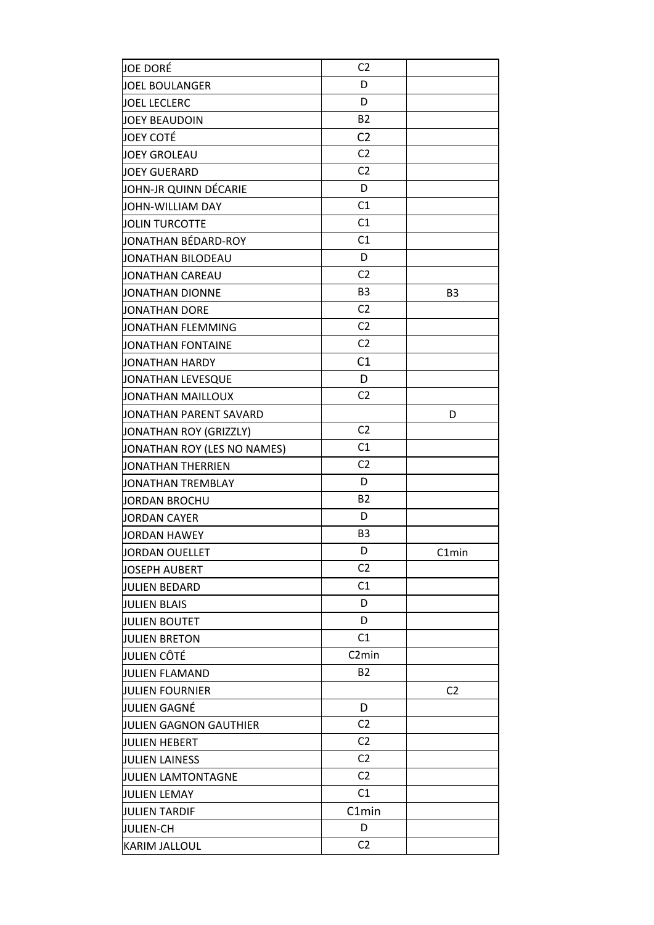| JOE DORÉ                    | C <sub>2</sub>     |                |
|-----------------------------|--------------------|----------------|
| <b>JOEL BOULANGER</b>       | D                  |                |
| <b>JOEL LECLERC</b>         | D                  |                |
| <b>JOEY BEAUDOIN</b>        | <b>B2</b>          |                |
| <b>JOEY COTÉ</b>            | C <sub>2</sub>     |                |
| <b>JOEY GROLEAU</b>         | C <sub>2</sub>     |                |
| <b>JOEY GUERARD</b>         | C <sub>2</sub>     |                |
| JOHN-JR QUINN DÉCARIE       | D                  |                |
| JOHN-WILLIAM DAY            | C1                 |                |
| <b>JOLIN TURCOTTE</b>       | C1                 |                |
| JONATHAN BÉDARD-ROY         | C1                 |                |
| JONATHAN BILODEAU           | D                  |                |
| JONATHAN CAREAU             | C <sub>2</sub>     |                |
| JONATHAN DIONNE             | B <sub>3</sub>     | B <sub>3</sub> |
| <b>JONATHAN DORE</b>        | C <sub>2</sub>     |                |
| JONATHAN FLEMMING           | C <sub>2</sub>     |                |
| JONATHAN FONTAINE           | C <sub>2</sub>     |                |
| JONATHAN HARDY              | C1                 |                |
| JONATHAN LEVESQUE           | D                  |                |
| <b>JONATHAN MAILLOUX</b>    | C <sub>2</sub>     |                |
| JONATHAN PARENT SAVARD      |                    | D              |
| JONATHAN ROY (GRIZZLY)      | C <sub>2</sub>     |                |
| JONATHAN ROY (LES NO NAMES) | C1                 |                |
| JONATHAN THERRIEN           | C <sub>2</sub>     |                |
| JONATHAN TREMBLAY           | D                  |                |
| JORDAN BROCHU               | <b>B2</b>          |                |
| <b>JORDAN CAYER</b>         | D                  |                |
| <b>JORDAN HAWEY</b>         | B <sub>3</sub>     |                |
| JORDAN OUELLET              | D                  | C1min          |
| JOSEPH AUBERT               | C2                 |                |
| JULIEN BEDARD               | C1                 |                |
| <b>JULIEN BLAIS</b>         | D                  |                |
| <b>JULIEN BOUTET</b>        | D                  |                |
| <b>JULIEN BRETON</b>        | C1                 |                |
| JULIEN CÔTÉ                 | C <sub>2</sub> min |                |
| <b>JULIEN FLAMAND</b>       | <b>B2</b>          |                |
| <b>JULIEN FOURNIER</b>      |                    | C <sub>2</sub> |
| JULIEN GAGNÉ                | D                  |                |
| JULIEN GAGNON GAUTHIER      | C <sub>2</sub>     |                |
| <b>JULIEN HEBERT</b>        | C <sub>2</sub>     |                |
| <b>JULIEN LAINESS</b>       | C <sub>2</sub>     |                |
| JULIEN LAMTONTAGNE          | C <sub>2</sub>     |                |
| <b>JULIEN LEMAY</b>         | C1                 |                |
| <b>JULIEN TARDIF</b>        | C1min              |                |
| JULIEN-CH                   | D                  |                |
|                             | C <sub>2</sub>     |                |
| <b>KARIM JALLOUL</b>        |                    |                |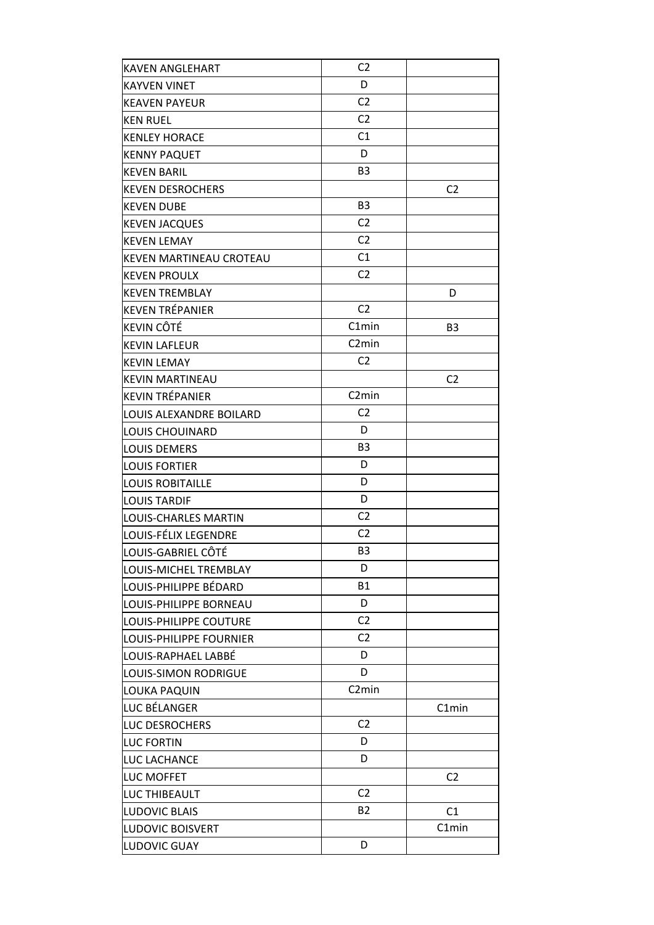| <b>KAVEN ANGLEHART</b>      | C <sub>2</sub>     |                |
|-----------------------------|--------------------|----------------|
| <b>KAYVEN VINET</b>         | D                  |                |
| <b>KEAVEN PAYEUR</b>        | C <sub>2</sub>     |                |
| <b>KEN RUEL</b>             | C <sub>2</sub>     |                |
| <b>KENLEY HORACE</b>        | C1                 |                |
| <b>KENNY PAQUET</b>         | D                  |                |
| <b>KEVEN BARIL</b>          | B <sub>3</sub>     |                |
| <b>KEVEN DESROCHERS</b>     |                    | C <sub>2</sub> |
| <b>KEVEN DUBE</b>           | B <sub>3</sub>     |                |
| <b>KEVEN JACQUES</b>        | C <sub>2</sub>     |                |
| <b>KEVEN LEMAY</b>          | C <sub>2</sub>     |                |
| KEVEN MARTINEAU CROTEAU     | C1                 |                |
| <b>KEVEN PROULX</b>         | C <sub>2</sub>     |                |
| <b>KEVEN TREMBLAY</b>       |                    | D              |
| KEVEN TRÉPANIER             | C <sub>2</sub>     |                |
| <b>KEVIN CÔTÉ</b>           | C1min              | B <sub>3</sub> |
| <b>KEVIN LAFLEUR</b>        | C <sub>2</sub> min |                |
| <b>KEVIN LEMAY</b>          | C <sub>2</sub>     |                |
| <b>KEVIN MARTINEAU</b>      |                    | C <sub>2</sub> |
| <b>KEVIN TRÉPANIER</b>      | C <sub>2</sub> min |                |
| LOUIS ALEXANDRE BOILARD     | C <sub>2</sub>     |                |
| <b>LOUIS CHOUINARD</b>      | D                  |                |
| <b>LOUIS DEMERS</b>         | B3                 |                |
| <b>LOUIS FORTIER</b>        | D                  |                |
| <b>LOUIS ROBITAILLE</b>     | D                  |                |
| <b>LOUIS TARDIF</b>         | D                  |                |
| <b>LOUIS-CHARLES MARTIN</b> | C <sub>2</sub>     |                |
| LOUIS-FÉLIX LEGENDRE        | C <sub>2</sub>     |                |
| LOUIS-GABRIEL CÔTÉ          | B3                 |                |
| LOUIS-MICHEL TREMBLAY       | D                  |                |
| LOUIS-PHILIPPE BÉDARD       | <b>B1</b>          |                |
| LOUIS-PHILIPPE BORNEAU      | D                  |                |
| LOUIS-PHILIPPE COUTURE      | C <sub>2</sub>     |                |
| LOUIS-PHILIPPE FOURNIER     | C <sub>2</sub>     |                |
| LOUIS-RAPHAEL LABBÉ         | D                  |                |
| <b>LOUIS-SIMON RODRIGUE</b> | D                  |                |
| LOUKA PAQUIN                | C <sub>2</sub> min |                |
| LUC BÉLANGER                |                    | C1min          |
| LUC DESROCHERS              | C <sub>2</sub>     |                |
| <b>LUC FORTIN</b>           | D                  |                |
| LUC LACHANCE                | D                  |                |
| <b>LUC MOFFET</b>           |                    | C <sub>2</sub> |
| LUC THIBEAULT               | C <sub>2</sub>     |                |
| <b>LUDOVIC BLAIS</b>        | <b>B2</b>          | C1             |
| <b>LUDOVIC BOISVERT</b>     |                    | C1min          |
|                             | D                  |                |
| LUDOVIC GUAY                |                    |                |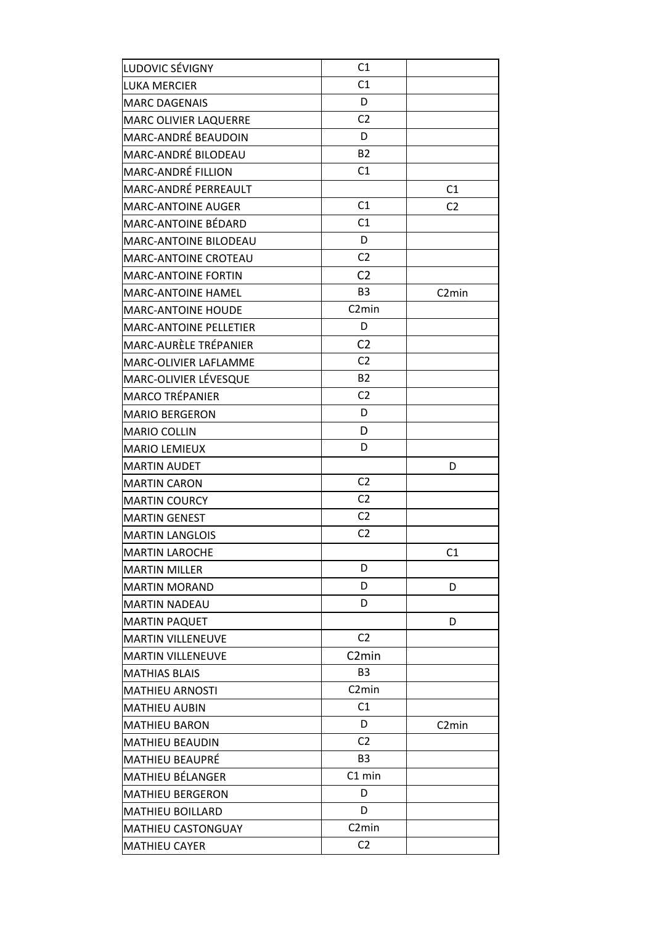| LUDOVIC SÉVIGNY               | C1                 |                    |
|-------------------------------|--------------------|--------------------|
| LUKA MERCIER                  | C1                 |                    |
| <b>MARC DAGENAIS</b>          | D                  |                    |
| <b>MARC OLIVIER LAQUERRE</b>  | C <sub>2</sub>     |                    |
| MARC-ANDRÉ BEAUDOIN           | D                  |                    |
| MARC-ANDRÉ BILODEAU           | <b>B2</b>          |                    |
| MARC-ANDRÉ FILLION            | C1                 |                    |
| MARC-ANDRÉ PERREAULT          |                    | C1                 |
| <b>MARC-ANTOINE AUGER</b>     | C1                 | C <sub>2</sub>     |
| MARC-ANTOINE BÉDARD           | C1                 |                    |
| MARC-ANTOINE BILODEAU         | D                  |                    |
| MARC-ANTOINE CROTEAU          | C <sub>2</sub>     |                    |
| <b>MARC-ANTOINE FORTIN</b>    | C <sub>2</sub>     |                    |
| <b>MARC-ANTOINE HAMEL</b>     | B <sub>3</sub>     | C <sub>2</sub> min |
| <b>MARC-ANTOINE HOUDE</b>     | C <sub>2</sub> min |                    |
| <b>MARC-ANTOINE PELLETIER</b> | D                  |                    |
| MARC-AURÈLE TRÉPANIER         | C <sub>2</sub>     |                    |
| MARC-OLIVIER LAFLAMME         | C <sub>2</sub>     |                    |
| MARC-OLIVIER LÉVESQUE         | <b>B2</b>          |                    |
| <b>MARCO TRÉPANIER</b>        | C <sub>2</sub>     |                    |
| <b>MARIO BERGERON</b>         | D                  |                    |
| <b>MARIO COLLIN</b>           | D                  |                    |
| <b>MARIO LEMIEUX</b>          | D                  |                    |
| <b>MARTIN AUDET</b>           |                    | D                  |
| <b>MARTIN CARON</b>           | C <sub>2</sub>     |                    |
| <b>MARTIN COURCY</b>          | C <sub>2</sub>     |                    |
| <b>MARTIN GENEST</b>          | C <sub>2</sub>     |                    |
| <b>MARTIN LANGLOIS</b>        | C <sub>2</sub>     |                    |
| <b>MARTIN LAROCHE</b>         |                    | C1                 |
| <b>MARTIN MILLER</b>          | D                  |                    |
| <b>MARTIN MORAND</b>          | D                  | D                  |
| <b>MARTIN NADEAU</b>          | D                  |                    |
| <b>MARTIN PAQUET</b>          |                    | D                  |
| <b>MARTIN VILLENEUVE</b>      | C <sub>2</sub>     |                    |
| <b>MARTIN VILLENEUVE</b>      | C <sub>2</sub> min |                    |
| <b>MATHIAS BLAIS</b>          | B <sub>3</sub>     |                    |
| <b>MATHIEU ARNOSTI</b>        | C <sub>2</sub> min |                    |
| <b>MATHIEU AUBIN</b>          | C1                 |                    |
| <b>MATHIEU BARON</b>          | D                  | C <sub>2</sub> min |
| <b>MATHIEU BEAUDIN</b>        | C <sub>2</sub>     |                    |
| <b>MATHIEU BEAUPRÉ</b>        | <b>B3</b>          |                    |
| MATHIEU BÉLANGER              | C1 min             |                    |
| <b>MATHIEU BERGERON</b>       | D                  |                    |
| <b>MATHIEU BOILLARD</b>       | D                  |                    |
| <b>MATHIEU CASTONGUAY</b>     | C <sub>2</sub> min |                    |
| <b>MATHIEU CAYER</b>          | C <sub>2</sub>     |                    |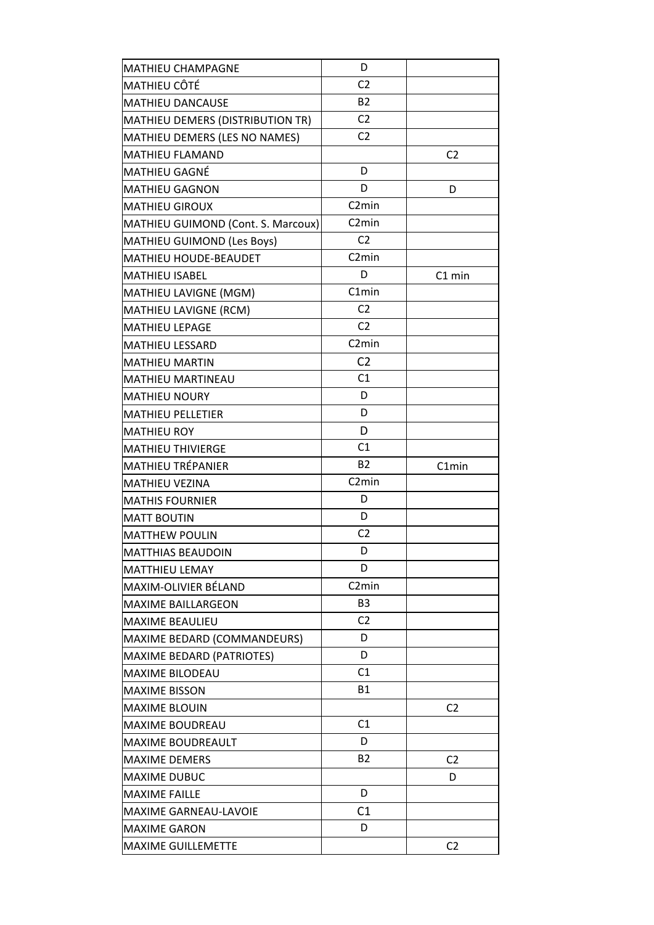| <b>MATHIEU CHAMPAGNE</b>           | D                  |                |
|------------------------------------|--------------------|----------------|
| MATHIEU CÔTÉ                       | C <sub>2</sub>     |                |
| <b>MATHIEU DANCAUSE</b>            | <b>B2</b>          |                |
| MATHIEU DEMERS (DISTRIBUTION TR)   | C <sub>2</sub>     |                |
| MATHIEU DEMERS (LES NO NAMES)      | C <sub>2</sub>     |                |
| <b>MATHIEU FLAMAND</b>             |                    | C <sub>2</sub> |
| MATHIEU GAGNÉ                      | D                  |                |
| <b>MATHIEU GAGNON</b>              | D                  | D              |
| <b>MATHIEU GIROUX</b>              | C <sub>2</sub> min |                |
| MATHIEU GUIMOND (Cont. S. Marcoux) | C <sub>2</sub> min |                |
| <b>MATHIEU GUIMOND (Les Boys)</b>  | C <sub>2</sub>     |                |
| MATHIEU HOUDE-BEAUDET              | C <sub>2</sub> min |                |
| <b>MATHIEU ISABEL</b>              | D                  | C1 min         |
| MATHIEU LAVIGNE (MGM)              | C1min              |                |
| MATHIEU LAVIGNE (RCM)              | C <sub>2</sub>     |                |
| <b>MATHIEU LEPAGE</b>              | C <sub>2</sub>     |                |
| <b>MATHIEU LESSARD</b>             | C <sub>2</sub> min |                |
| <b>MATHIEU MARTIN</b>              | C <sub>2</sub>     |                |
| <b>MATHIEU MARTINEAU</b>           | C1                 |                |
| <b>MATHIEU NOURY</b>               | D                  |                |
| <b>MATHIEU PELLETIER</b>           | D                  |                |
| <b>MATHIEU ROY</b>                 | D                  |                |
| <b>MATHIEU THIVIERGE</b>           | C1                 |                |
| <b>MATHIEU TRÉPANIER</b>           | <b>B2</b>          | C1min          |
| MATHIEU VEZINA                     | C <sub>2</sub> min |                |
| <b>MATHIS FOURNIER</b>             | D                  |                |
| <b>MATT BOUTIN</b>                 | D                  |                |
| <b>MATTHEW POULIN</b>              | C <sub>2</sub>     |                |
| MATTHIAS BEAUDOIN                  | D                  |                |
| <b>MATTHIEU LEMAY</b>              | D                  |                |
| MAXIM-OLIVIER BÉLAND               | C <sub>2</sub> min |                |
| <b>MAXIME BAILLARGEON</b>          | B <sub>3</sub>     |                |
| <b>MAXIME BEAULIEU</b>             | C <sub>2</sub>     |                |
| MAXIME BEDARD (COMMANDEURS)        | D                  |                |
| <b>MAXIME BEDARD (PATRIOTES)</b>   | D                  |                |
| <b>MAXIME BILODEAU</b>             | C1                 |                |
| <b>MAXIME BISSON</b>               | <b>B1</b>          |                |
| <b>MAXIME BLOUIN</b>               |                    | C <sub>2</sub> |
| <b>MAXIME BOUDREAU</b>             | C1                 |                |
| MAXIME BOUDREAULT                  | D                  |                |
| <b>MAXIME DEMERS</b>               | <b>B2</b>          | C <sub>2</sub> |
| <b>MAXIME DUBUC</b>                |                    | D              |
| <b>MAXIME FAILLE</b>               | D                  |                |
| MAXIME GARNEAU-LAVOIE              | C1                 |                |
| <b>MAXIME GARON</b>                | D                  |                |
| MAXIME GUILLEMETTE                 |                    | C <sub>2</sub> |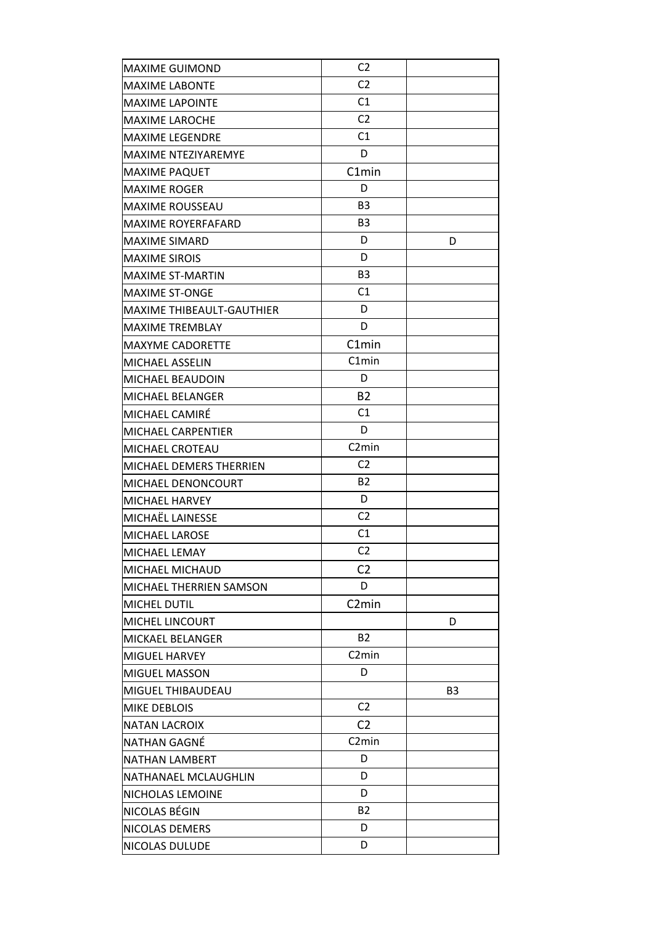| <b>MAXIME GUIMOND</b>            | C <sub>2</sub>     |                |
|----------------------------------|--------------------|----------------|
| <b>MAXIME LABONTE</b>            | C <sub>2</sub>     |                |
| <b>MAXIME LAPOINTE</b>           | C1                 |                |
| <b>MAXIME LAROCHE</b>            | C <sub>2</sub>     |                |
| <b>MAXIME LEGENDRE</b>           | C1                 |                |
| MAXIME NTEZIYAREMYE              | D                  |                |
| <b>MAXIME PAQUET</b>             | C1min              |                |
| <b>MAXIME ROGER</b>              | D                  |                |
| <b>MAXIME ROUSSEAU</b>           | B <sub>3</sub>     |                |
| <b>MAXIME ROYERFAFARD</b>        | B <sub>3</sub>     |                |
| <b>MAXIME SIMARD</b>             | D                  | D              |
| <b>MAXIME SIROIS</b>             | D                  |                |
| <b>MAXIME ST-MARTIN</b>          | B <sub>3</sub>     |                |
| <b>MAXIME ST-ONGE</b>            | C1                 |                |
| <b>MAXIME THIBEAULT-GAUTHIER</b> | D                  |                |
| <b>MAXIME TREMBLAY</b>           | D                  |                |
| MAXYME CADORETTE                 | C1min              |                |
| MICHAEL ASSELIN                  | C1min              |                |
| MICHAEL BEAUDOIN                 | D                  |                |
| MICHAEL BELANGER                 | <b>B2</b>          |                |
| MICHAEL CAMIRÉ                   | C1                 |                |
| MICHAEL CARPENTIER               | D                  |                |
| MICHAEL CROTEAU                  | C <sub>2</sub> min |                |
| MICHAEL DEMERS THERRIEN          | C <sub>2</sub>     |                |
| MICHAEL DENONCOURT               | <b>B2</b>          |                |
| MICHAEL HARVEY                   | D                  |                |
| MICHAËL LAINESSE                 | C <sub>2</sub>     |                |
| MICHAEL LAROSE                   | C1                 |                |
| MICHAEL LEMAY                    | C <sub>2</sub>     |                |
| <b>MICHAEL MICHAUD</b>           | C <sub>2</sub>     |                |
| MICHAEL THERRIEN SAMSON          | D                  |                |
| <b>MICHEL DUTIL</b>              | C <sub>2</sub> min |                |
| <b>MICHEL LINCOURT</b>           |                    | D              |
| MICKAEL BELANGER                 | <b>B2</b>          |                |
| MIGUEL HARVEY                    | C <sub>2</sub> min |                |
| <b>MIGUEL MASSON</b>             | D                  |                |
| MIGUEL THIBAUDEAU                |                    | B <sub>3</sub> |
| MIKE DEBLOIS                     | C <sub>2</sub>     |                |
| <b>NATAN LACROIX</b>             | C <sub>2</sub>     |                |
| NATHAN GAGNÉ                     | C <sub>2</sub> min |                |
| <b>NATHAN LAMBERT</b>            | D                  |                |
| NATHANAEL MCLAUGHLIN             | D                  |                |
| NICHOLAS LEMOINE                 | D                  |                |
| NICOLAS BÉGIN                    | B2                 |                |
| NICOLAS DEMERS                   | D                  |                |
| NICOLAS DULUDE                   | D                  |                |
|                                  |                    |                |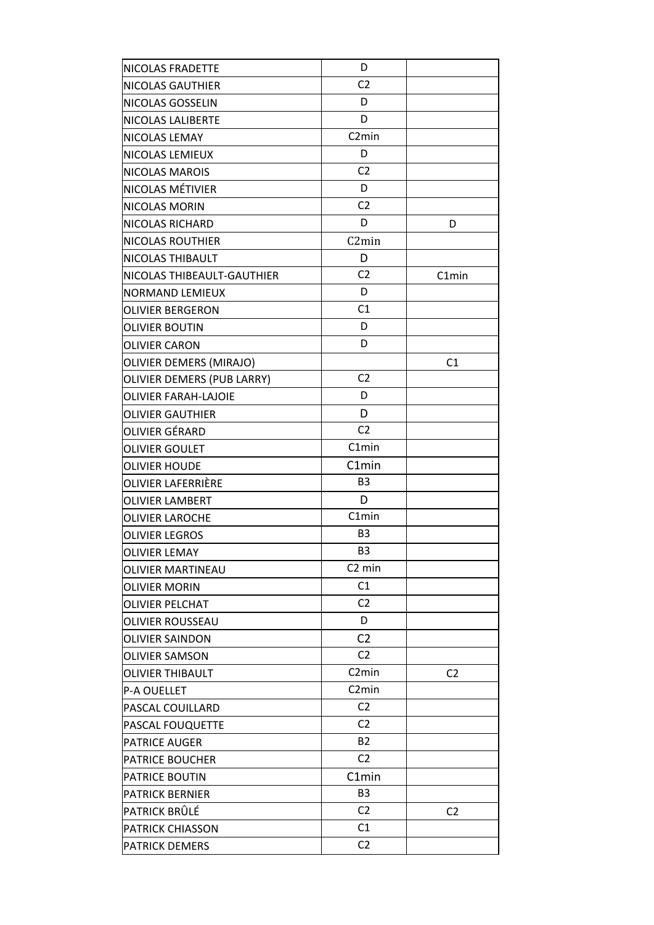| <b>NICOLAS FRADETTE</b>     | D                  |                |
|-----------------------------|--------------------|----------------|
| <b>NICOLAS GAUTHIER</b>     | C <sub>2</sub>     |                |
| NICOLAS GOSSELIN            | D                  |                |
| <b>NICOLAS LALIBERTE</b>    | D                  |                |
| NICOLAS LEMAY               | C <sub>2</sub> min |                |
| <b>NICOLAS LEMIEUX</b>      | D                  |                |
| NICOLAS MAROIS              | C <sub>2</sub>     |                |
| NICOLAS MÉTIVIER            | D                  |                |
| NICOLAS MORIN               | C <sub>2</sub>     |                |
| NICOLAS RICHARD             | D                  | D              |
| <b>NICOLAS ROUTHIER</b>     | C <sub>2</sub> min |                |
| NICOLAS THIBAULT            | D                  |                |
| NICOLAS THIBEAULT-GAUTHIER  | C <sub>2</sub>     | C1min          |
| <b>NORMAND LEMIEUX</b>      | D                  |                |
| <b>OLIVIER BERGERON</b>     | C1                 |                |
| <b>OLIVIER BOUTIN</b>       | D                  |                |
| <b>OLIVIER CARON</b>        | D                  |                |
| OLIVIER DEMERS (MIRAJO)     |                    | C1             |
| OLIVIER DEMERS (PUB LARRY)  | C <sub>2</sub>     |                |
| <b>OLIVIER FARAH-LAJOIE</b> | D                  |                |
| <b>OLIVIER GAUTHIER</b>     | D                  |                |
| OLIVIER GÉRARD              | C <sub>2</sub>     |                |
| <b>OLIVIER GOULET</b>       | C1min              |                |
| <b>OLIVIER HOUDE</b>        | C1min              |                |
| OLIVIER LAFERRIÈRE          | B <sub>3</sub>     |                |
| <b>OLIVIER LAMBERT</b>      | D                  |                |
| <b>OLIVIER LAROCHE</b>      | C1min              |                |
| <b>OLIVIER LEGROS</b>       | B <sub>3</sub>     |                |
| <b>OLIVIER LEMAY</b>        | B <sub>3</sub>     |                |
| <b>OLIVIER MARTINEAU</b>    | C <sub>2</sub> min |                |
| <b>OLIVIER MORIN</b>        | C1                 |                |
| <b>OLIVIER PELCHAT</b>      | C <sub>2</sub>     |                |
| OLIVIER ROUSSEAU            | D                  |                |
| <b>OLIVIER SAINDON</b>      | C <sub>2</sub>     |                |
| <b>OLIVIER SAMSON</b>       | C <sub>2</sub>     |                |
| OLIVIER THIBAULT            | C <sub>2</sub> min | C <sub>2</sub> |
| <b>P-A OUELLET</b>          | C <sub>2</sub> min |                |
| PASCAL COUILLARD            | C <sub>2</sub>     |                |
| PASCAL FOUQUETTE            | C <sub>2</sub>     |                |
| <b>PATRICE AUGER</b>        | B <sub>2</sub>     |                |
| <b>PATRICE BOUCHER</b>      | C <sub>2</sub>     |                |
| <b>PATRICE BOUTIN</b>       | C1min              |                |
| <b>PATRICK BERNIER</b>      | B <sub>3</sub>     |                |
| PATRICK BRÛLÉ               | C <sub>2</sub>     | C <sub>2</sub> |
| <b>PATRICK CHIASSON</b>     | C1                 |                |
| PATRICK DEMERS              | C <sub>2</sub>     |                |
|                             |                    |                |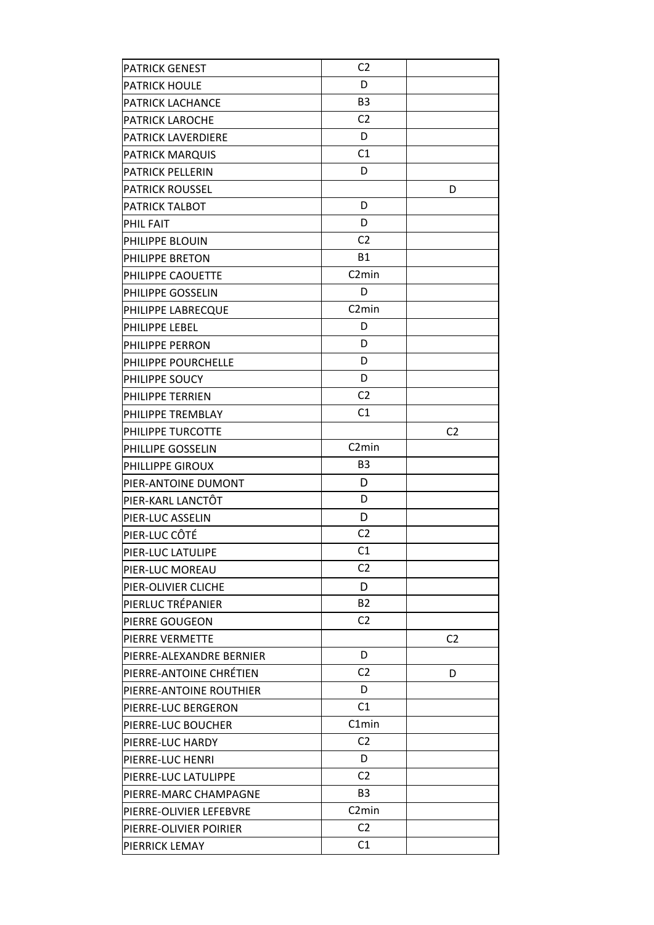| <b>PATRICK GENEST</b>    | C <sub>2</sub>     |                |
|--------------------------|--------------------|----------------|
| <b>PATRICK HOULE</b>     | D                  |                |
| <b>PATRICK LACHANCE</b>  | B <sub>3</sub>     |                |
| <b>PATRICK LAROCHE</b>   | C <sub>2</sub>     |                |
| PATRICK LAVERDIERE       | D                  |                |
| <b>PATRICK MARQUIS</b>   | C1                 |                |
| <b>PATRICK PELLERIN</b>  | D                  |                |
| <b>PATRICK ROUSSEL</b>   |                    | D              |
| <b>PATRICK TALBOT</b>    | D                  |                |
| <b>PHIL FAIT</b>         | D                  |                |
| PHILIPPE BLOUIN          | C <sub>2</sub>     |                |
| PHILIPPE BRETON          | <b>B1</b>          |                |
| PHILIPPE CAOUETTE        | C <sub>2</sub> min |                |
| PHILIPPE GOSSELIN        | D                  |                |
| PHILIPPE LABRECQUE       | C <sub>2</sub> min |                |
| PHILIPPE LEBEL           | D                  |                |
| PHILIPPE PERRON          | D                  |                |
| PHILIPPE POURCHELLE      | D                  |                |
| PHILIPPE SOUCY           | D                  |                |
| PHILIPPE TERRIEN         | C <sub>2</sub>     |                |
| PHILIPPE TREMBLAY        | C1                 |                |
| PHILIPPE TURCOTTE        |                    | C <sub>2</sub> |
| PHILLIPE GOSSELIN        | C <sub>2</sub> min |                |
| PHILLIPPE GIROUX         | B <sub>3</sub>     |                |
| PIER-ANTOINE DUMONT      | D                  |                |
| PIER-KARL LANCTÔT        | D                  |                |
| PIER-LUC ASSELIN         | D                  |                |
| PIER-LUC CÔTÉ            | C <sub>2</sub>     |                |
| PIER-LUC LATULIPE        | C <sub>1</sub>     |                |
| PIER-LUC MOREAU          | C <sub>2</sub>     |                |
| PIER-OLIVIER CLICHE      | D                  |                |
| PIERLUC TRÉPANIER        | B <sub>2</sub>     |                |
| PIERRE GOUGEON           | C <sub>2</sub>     |                |
| PIERRE VERMETTE          |                    | C <sub>2</sub> |
| PIERRE-ALEXANDRE BERNIER | D                  |                |
| PIERRE-ANTOINE CHRÉTIEN  | C <sub>2</sub>     | D              |
| PIERRE-ANTOINE ROUTHIER  | D                  |                |
| PIERRE-LUC BERGERON      | C <sub>1</sub>     |                |
| PIERRE-LUC BOUCHER       | C1min              |                |
| PIERRE-LUC HARDY         | C <sub>2</sub>     |                |
| PIERRE-LUC HENRI         | D                  |                |
| PIERRE-LUC LATULIPPE     | C <sub>2</sub>     |                |
| PIERRE-MARC CHAMPAGNE    | B <sub>3</sub>     |                |
| PIERRE-OLIVIER LEFEBVRE  | C <sub>2</sub> min |                |
| PIERRE-OLIVIER POIRIER   | C <sub>2</sub>     |                |
| PIERRICK LEMAY           | C1                 |                |
|                          |                    |                |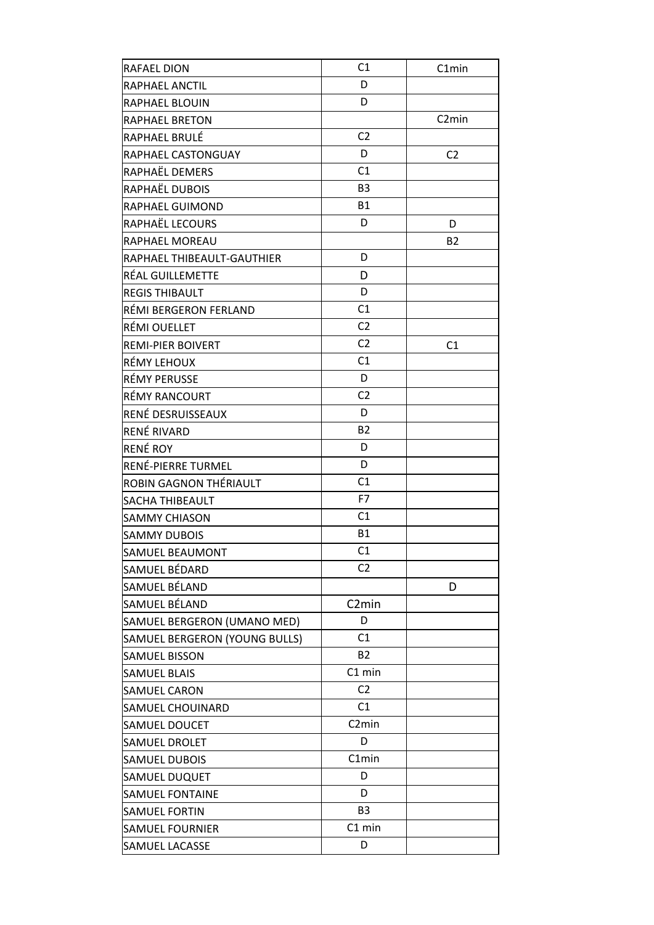| RAFAEL DION                   | C <sub>1</sub>     | C1min              |
|-------------------------------|--------------------|--------------------|
| RAPHAEL ANCTIL                | D                  |                    |
| RAPHAEL BLOUIN                | D                  |                    |
| <b>RAPHAEL BRETON</b>         |                    | C <sub>2</sub> min |
| RAPHAEL BRULÉ                 | C <sub>2</sub>     |                    |
| RAPHAEL CASTONGUAY            | D                  | C <sub>2</sub>     |
| RAPHAËL DEMERS                | C <sub>1</sub>     |                    |
| RAPHAËL DUBOIS                | B <sub>3</sub>     |                    |
| RAPHAEL GUIMOND               | <b>B1</b>          |                    |
| RAPHAËL LECOURS               | D                  | D                  |
| RAPHAEL MOREAU                |                    | <b>B2</b>          |
| RAPHAEL THIBEAULT-GAUTHIER    | D                  |                    |
| RÉAL GUILLEMETTE              | D                  |                    |
| <b>REGIS THIBAULT</b>         | D                  |                    |
| RÉMI BERGERON FERLAND         | C1                 |                    |
| RÉMI OUELLET                  | C <sub>2</sub>     |                    |
| <b>REMI-PIER BOIVERT</b>      | C <sub>2</sub>     | C <sub>1</sub>     |
| RÉMY LEHOUX                   | C <sub>1</sub>     |                    |
| RÉMY PERUSSE                  | D                  |                    |
| RÉMY RANCOURT                 | C <sub>2</sub>     |                    |
| RENÉ DESRUISSEAUX             | D                  |                    |
| RENÉ RIVARD                   | <b>B2</b>          |                    |
| <b>RENÉ ROY</b>               | D                  |                    |
| RENÉ-PIERRE TURMEL            | D                  |                    |
| ROBIN GAGNON THÉRIAULT        | C1                 |                    |
| <b>SACHA THIBEAULT</b>        | F7                 |                    |
| <b>SAMMY CHIASON</b>          | C1                 |                    |
| <b>SAMMY DUBOIS</b>           | <b>B1</b>          |                    |
| SAMUEL BEAUMONT               | C1                 |                    |
| SAMUEL BÉDARD                 | C2                 |                    |
| SAMUEL BÉLAND                 |                    | D                  |
| SAMUEL BÉLAND                 | C <sub>2</sub> min |                    |
| SAMUEL BERGERON (UMANO MED)   | D                  |                    |
| SAMUEL BERGERON (YOUNG BULLS) | C1                 |                    |
| <b>SAMUEL BISSON</b>          | <b>B2</b>          |                    |
| <b>SAMUEL BLAIS</b>           | C1 min             |                    |
| <b>SAMUEL CARON</b>           | C <sub>2</sub>     |                    |
| SAMUEL CHOUINARD              | C <sub>1</sub>     |                    |
| SAMUEL DOUCET                 | C <sub>2</sub> min |                    |
| SAMUEL DROLET                 | D                  |                    |
| <b>SAMUEL DUBOIS</b>          | C1min              |                    |
| SAMUEL DUQUET                 | D                  |                    |
| <b>SAMUEL FONTAINE</b>        | D                  |                    |
| <b>SAMUEL FORTIN</b>          | B <sub>3</sub>     |                    |
| <b>SAMUEL FOURNIER</b>        | $C1$ min           |                    |
| SAMUEL LACASSE                | D                  |                    |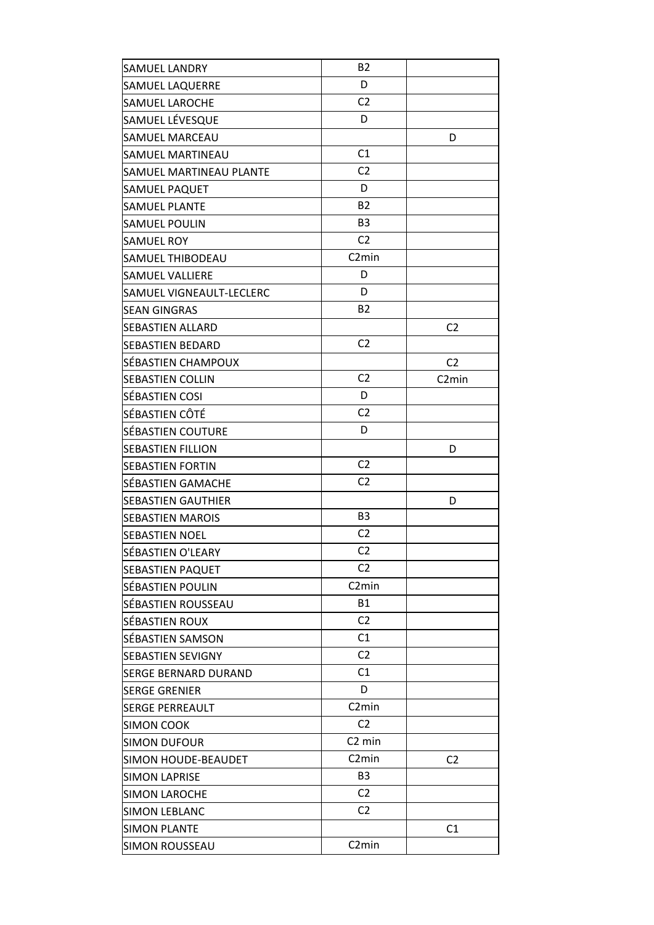| <b>SAMUEL LANDRY</b>        | <b>B2</b>          |                    |
|-----------------------------|--------------------|--------------------|
| <b>SAMUEL LAQUERRE</b>      | D                  |                    |
| <b>SAMUEL LAROCHE</b>       | C <sub>2</sub>     |                    |
| SAMUEL LÉVESQUE             | D                  |                    |
| <b>SAMUEL MARCEAU</b>       |                    | D                  |
| SAMUEL MARTINEAU            | C1                 |                    |
| SAMUEL MARTINEAU PLANTE     | C <sub>2</sub>     |                    |
| SAMUEL PAQUET               | D                  |                    |
| <b>SAMUEL PLANTE</b>        | <b>B2</b>          |                    |
| <b>SAMUEL POULIN</b>        | B <sub>3</sub>     |                    |
| <b>SAMUEL ROY</b>           | C <sub>2</sub>     |                    |
| SAMUEL THIBODEAU            | C <sub>2</sub> min |                    |
| <b>SAMUEL VALLIERE</b>      | D                  |                    |
| SAMUEL VIGNEAULT-LECLERC    | D                  |                    |
| <b>SEAN GINGRAS</b>         | <b>B2</b>          |                    |
| <b>SEBASTIEN ALLARD</b>     |                    | C <sub>2</sub>     |
| <b>SEBASTIEN BEDARD</b>     | C <sub>2</sub>     |                    |
| SÉBASTIEN CHAMPOUX          |                    | C <sub>2</sub>     |
| <b>SEBASTIEN COLLIN</b>     | C <sub>2</sub>     | C <sub>2</sub> min |
| SÉBASTIEN COSI              | D                  |                    |
| SÉBASTIEN CÔTÉ              | C <sub>2</sub>     |                    |
| SÉBASTIEN COUTURE           | D                  |                    |
| <b>SEBASTIEN FILLION</b>    |                    | D                  |
| <b>SEBASTIEN FORTIN</b>     | C <sub>2</sub>     |                    |
| SÉBASTIEN GAMACHE           | C <sub>2</sub>     |                    |
| <b>SEBASTIEN GAUTHIER</b>   |                    | D                  |
| <b>SEBASTIEN MAROIS</b>     | B <sub>3</sub>     |                    |
| <b>SEBASTIEN NOEL</b>       | C <sub>2</sub>     |                    |
| SÉBASTIEN O'LEARY           | C <sub>2</sub>     |                    |
| <b>SEBASTIEN PAQUET</b>     | C <sub>2</sub>     |                    |
| SÉBASTIEN POULIN            | C <sub>2</sub> min |                    |
| SÉBASTIEN ROUSSEAU          | <b>B1</b>          |                    |
| SÉBASTIEN ROUX              | C <sub>2</sub>     |                    |
| SÉBASTIEN SAMSON            | C1                 |                    |
| <b>SEBASTIEN SEVIGNY</b>    | C <sub>2</sub>     |                    |
| <b>SERGE BERNARD DURAND</b> | C1                 |                    |
| <b>SERGE GRENIER</b>        | D                  |                    |
| <b>SERGE PERREAULT</b>      | C <sub>2</sub> min |                    |
| <b>SIMON COOK</b>           | C <sub>2</sub>     |                    |
| <b>SIMON DUFOUR</b>         | C <sub>2</sub> min |                    |
| SIMON HOUDE-BEAUDET         | C <sub>2</sub> min | C <sub>2</sub>     |
| <b>SIMON LAPRISE</b>        | B <sub>3</sub>     |                    |
| <b>SIMON LAROCHE</b>        | C <sub>2</sub>     |                    |
| <b>SIMON LEBLANC</b>        | C <sub>2</sub>     |                    |
| <b>SIMON PLANTE</b>         |                    | C1                 |
| <b>SIMON ROUSSEAU</b>       | C <sub>2</sub> min |                    |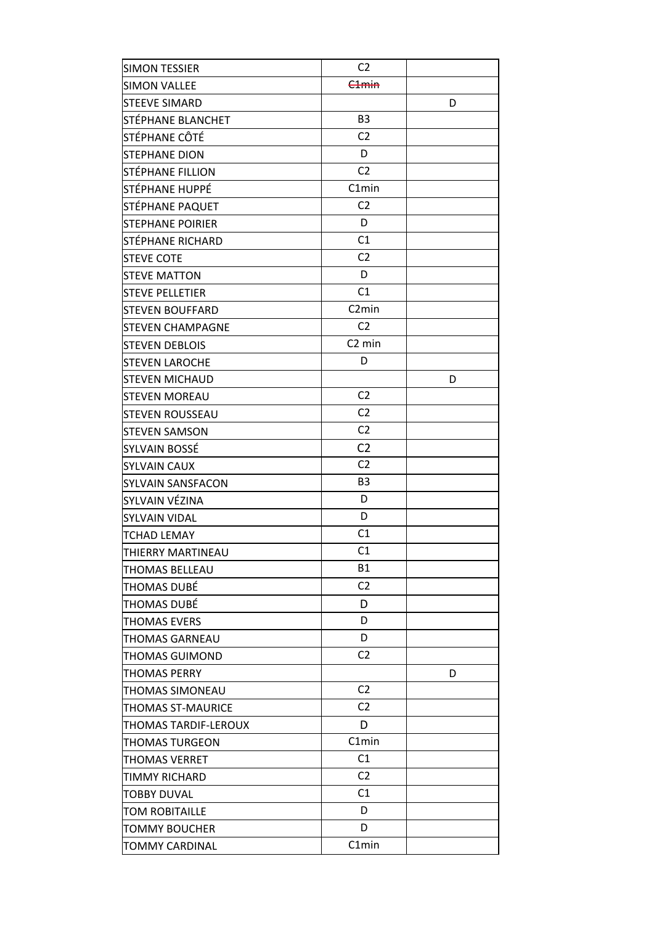| <b>SIMON TESSIER</b>     | C <sub>2</sub>     |   |
|--------------------------|--------------------|---|
| <b>SIMON VALLEE</b>      | C <sub>1</sub> min |   |
| <b>STEEVE SIMARD</b>     |                    | D |
| STÉPHANE BLANCHET        | B <sub>3</sub>     |   |
| STÉPHANE CÔTÉ            | C <sub>2</sub>     |   |
| <b>STEPHANE DION</b>     | D                  |   |
| STÉPHANE FILLION         | C <sub>2</sub>     |   |
| STÉPHANE HUPPÉ           | C1min              |   |
| STÉPHANE PAQUET          | C <sub>2</sub>     |   |
| <b>STEPHANE POIRIER</b>  | D                  |   |
| STÉPHANE RICHARD         | C1                 |   |
| <b>STEVE COTE</b>        | C <sub>2</sub>     |   |
| <b>STEVE MATTON</b>      | D                  |   |
| <b>STEVE PELLETIER</b>   | C1                 |   |
| <b>STEVEN BOUFFARD</b>   | C <sub>2</sub> min |   |
| <b>STEVEN CHAMPAGNE</b>  | C <sub>2</sub>     |   |
| <b>STEVEN DEBLOIS</b>    | C <sub>2</sub> min |   |
| <b>STEVEN LAROCHE</b>    | D                  |   |
| <b>STEVEN MICHAUD</b>    |                    | D |
| <b>STEVEN MOREAU</b>     | C <sub>2</sub>     |   |
| <b>STEVEN ROUSSEAU</b>   | C <sub>2</sub>     |   |
| <b>STEVEN SAMSON</b>     | C <sub>2</sub>     |   |
| SYLVAIN BOSSÉ            | C <sub>2</sub>     |   |
| <b>SYLVAIN CAUX</b>      | C <sub>2</sub>     |   |
| <b>SYLVAIN SANSFACON</b> | B <sub>3</sub>     |   |
| SYLVAIN VÉZINA           | D                  |   |
| <b>SYLVAIN VIDAL</b>     | D                  |   |
| <b>TCHAD LEMAY</b>       | C1                 |   |
| THIERRY MARTINEAU        | C <sub>1</sub>     |   |
| THOMAS BELLEAU           | <b>B1</b>          |   |
| THOMAS DUBÉ              | C <sub>2</sub>     |   |
| THOMAS DUBÉ              | D                  |   |
| THOMAS EVERS             | D                  |   |
| THOMAS GARNEAU           | D                  |   |
| THOMAS GUIMOND           | C2                 |   |
| THOMAS PERRY             |                    | D |
| THOMAS SIMONEAU          | C <sub>2</sub>     |   |
| THOMAS ST-MAURICE        | C <sub>2</sub>     |   |
| THOMAS TARDIF-LEROUX     | D                  |   |
| <b>THOMAS TURGEON</b>    | C1min              |   |
| THOMAS VERRET            | C <sub>1</sub>     |   |
| TIMMY RICHARD            | C <sub>2</sub>     |   |
| <b>TOBBY DUVAL</b>       | C1                 |   |
| TOM ROBITAILLE           | D                  |   |
| TOMMY BOUCHER            | D                  |   |
| TOMMY CARDINAL           | C1min              |   |
|                          |                    |   |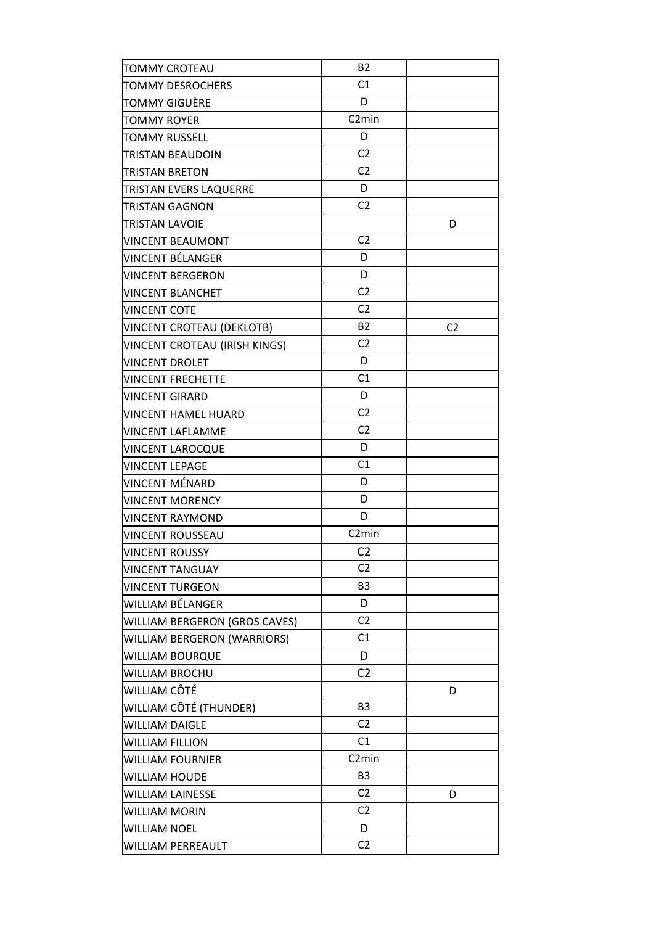| C1<br><b>TOMMY DESROCHERS</b><br>D<br>TOMMY GIGUÈRE<br>C <sub>2</sub> min<br>TOMMY ROYER<br>D<br><b>TOMMY RUSSELL</b><br>C <sub>2</sub><br>TRISTAN BEAUDOIN<br>C <sub>2</sub><br>TRISTAN BRETON<br>D<br>TRISTAN EVERS LAQUERRE<br>C <sub>2</sub><br>TRISTAN GAGNON<br><b>TRISTAN LAVOIE</b><br>D<br>C <sub>2</sub><br><b>VINCENT BEAUMONT</b><br>D<br>VINCENT BÉLANGER<br>D<br><b>VINCENT BERGERON</b><br>C <sub>2</sub><br><b>VINCENT BLANCHET</b><br>C <sub>2</sub><br><b>VINCENT COTE</b><br><b>B2</b><br>VINCENT CROTEAU (DEKLOTB)<br>C <sub>2</sub><br>C <sub>2</sub><br>VINCENT CROTEAU (IRISH KINGS)<br>D<br><b>VINCENT DROLET</b><br>C1<br><b>VINCENT FRECHETTE</b><br>D<br><b>VINCENT GIRARD</b><br>C <sub>2</sub><br><b>VINCENT HAMEL HUARD</b><br>C <sub>2</sub><br>VINCENT LAFLAMME<br>D<br><b>VINCENT LAROCQUE</b><br>C1<br><b>VINCENT LEPAGE</b><br>VINCENT MÉNARD<br>D<br>D<br><b>VINCENT MORENCY</b><br>D<br><b>VINCENT RAYMOND</b><br>C <sub>2</sub> min<br><b>VINCENT ROUSSEAU</b><br>C <sub>2</sub><br>C2<br><b>VINCENT TANGUAY</b><br>B <sub>3</sub><br><b>VINCENT TURGEON</b><br>D<br>WILLIAM BÉLANGER<br>C <sub>2</sub><br>WILLIAM BERGERON (GROS CAVES)<br>C1<br>WILLIAM BERGERON (WARRIORS)<br>WILLIAM BOURQUE<br>D<br>C <sub>2</sub><br>WILLIAM BROCHU<br>WILLIAM CÔTÉ<br>D<br>B <sub>3</sub><br>WILLIAM CÔTÉ (THUNDER)<br>C <sub>2</sub><br><b>WILLIAM DAIGLE</b><br>C1<br><b>WILLIAM FILLION</b><br>C <sub>2</sub> min<br>WILLIAM FOURNIER<br>B <sub>3</sub><br><b>WILLIAM HOUDE</b><br>C <sub>2</sub><br><b>WILLIAM LAINESSE</b><br>D<br>C <sub>2</sub><br><b>WILLIAM MORIN</b><br>D<br><b>WILLIAM NOEL</b><br>C <sub>2</sub><br>WILLIAM PERREAULT | <b>TOMMY CROTEAU</b>  | <b>B2</b> |  |
|--------------------------------------------------------------------------------------------------------------------------------------------------------------------------------------------------------------------------------------------------------------------------------------------------------------------------------------------------------------------------------------------------------------------------------------------------------------------------------------------------------------------------------------------------------------------------------------------------------------------------------------------------------------------------------------------------------------------------------------------------------------------------------------------------------------------------------------------------------------------------------------------------------------------------------------------------------------------------------------------------------------------------------------------------------------------------------------------------------------------------------------------------------------------------------------------------------------------------------------------------------------------------------------------------------------------------------------------------------------------------------------------------------------------------------------------------------------------------------------------------------------------------------------------------------------------------------------------------------------------------------------------------------------------------------|-----------------------|-----------|--|
|                                                                                                                                                                                                                                                                                                                                                                                                                                                                                                                                                                                                                                                                                                                                                                                                                                                                                                                                                                                                                                                                                                                                                                                                                                                                                                                                                                                                                                                                                                                                                                                                                                                                                |                       |           |  |
|                                                                                                                                                                                                                                                                                                                                                                                                                                                                                                                                                                                                                                                                                                                                                                                                                                                                                                                                                                                                                                                                                                                                                                                                                                                                                                                                                                                                                                                                                                                                                                                                                                                                                |                       |           |  |
|                                                                                                                                                                                                                                                                                                                                                                                                                                                                                                                                                                                                                                                                                                                                                                                                                                                                                                                                                                                                                                                                                                                                                                                                                                                                                                                                                                                                                                                                                                                                                                                                                                                                                |                       |           |  |
|                                                                                                                                                                                                                                                                                                                                                                                                                                                                                                                                                                                                                                                                                                                                                                                                                                                                                                                                                                                                                                                                                                                                                                                                                                                                                                                                                                                                                                                                                                                                                                                                                                                                                |                       |           |  |
|                                                                                                                                                                                                                                                                                                                                                                                                                                                                                                                                                                                                                                                                                                                                                                                                                                                                                                                                                                                                                                                                                                                                                                                                                                                                                                                                                                                                                                                                                                                                                                                                                                                                                |                       |           |  |
|                                                                                                                                                                                                                                                                                                                                                                                                                                                                                                                                                                                                                                                                                                                                                                                                                                                                                                                                                                                                                                                                                                                                                                                                                                                                                                                                                                                                                                                                                                                                                                                                                                                                                |                       |           |  |
|                                                                                                                                                                                                                                                                                                                                                                                                                                                                                                                                                                                                                                                                                                                                                                                                                                                                                                                                                                                                                                                                                                                                                                                                                                                                                                                                                                                                                                                                                                                                                                                                                                                                                |                       |           |  |
|                                                                                                                                                                                                                                                                                                                                                                                                                                                                                                                                                                                                                                                                                                                                                                                                                                                                                                                                                                                                                                                                                                                                                                                                                                                                                                                                                                                                                                                                                                                                                                                                                                                                                |                       |           |  |
|                                                                                                                                                                                                                                                                                                                                                                                                                                                                                                                                                                                                                                                                                                                                                                                                                                                                                                                                                                                                                                                                                                                                                                                                                                                                                                                                                                                                                                                                                                                                                                                                                                                                                |                       |           |  |
|                                                                                                                                                                                                                                                                                                                                                                                                                                                                                                                                                                                                                                                                                                                                                                                                                                                                                                                                                                                                                                                                                                                                                                                                                                                                                                                                                                                                                                                                                                                                                                                                                                                                                |                       |           |  |
|                                                                                                                                                                                                                                                                                                                                                                                                                                                                                                                                                                                                                                                                                                                                                                                                                                                                                                                                                                                                                                                                                                                                                                                                                                                                                                                                                                                                                                                                                                                                                                                                                                                                                |                       |           |  |
|                                                                                                                                                                                                                                                                                                                                                                                                                                                                                                                                                                                                                                                                                                                                                                                                                                                                                                                                                                                                                                                                                                                                                                                                                                                                                                                                                                                                                                                                                                                                                                                                                                                                                |                       |           |  |
|                                                                                                                                                                                                                                                                                                                                                                                                                                                                                                                                                                                                                                                                                                                                                                                                                                                                                                                                                                                                                                                                                                                                                                                                                                                                                                                                                                                                                                                                                                                                                                                                                                                                                |                       |           |  |
|                                                                                                                                                                                                                                                                                                                                                                                                                                                                                                                                                                                                                                                                                                                                                                                                                                                                                                                                                                                                                                                                                                                                                                                                                                                                                                                                                                                                                                                                                                                                                                                                                                                                                |                       |           |  |
|                                                                                                                                                                                                                                                                                                                                                                                                                                                                                                                                                                                                                                                                                                                                                                                                                                                                                                                                                                                                                                                                                                                                                                                                                                                                                                                                                                                                                                                                                                                                                                                                                                                                                |                       |           |  |
|                                                                                                                                                                                                                                                                                                                                                                                                                                                                                                                                                                                                                                                                                                                                                                                                                                                                                                                                                                                                                                                                                                                                                                                                                                                                                                                                                                                                                                                                                                                                                                                                                                                                                |                       |           |  |
|                                                                                                                                                                                                                                                                                                                                                                                                                                                                                                                                                                                                                                                                                                                                                                                                                                                                                                                                                                                                                                                                                                                                                                                                                                                                                                                                                                                                                                                                                                                                                                                                                                                                                |                       |           |  |
|                                                                                                                                                                                                                                                                                                                                                                                                                                                                                                                                                                                                                                                                                                                                                                                                                                                                                                                                                                                                                                                                                                                                                                                                                                                                                                                                                                                                                                                                                                                                                                                                                                                                                |                       |           |  |
|                                                                                                                                                                                                                                                                                                                                                                                                                                                                                                                                                                                                                                                                                                                                                                                                                                                                                                                                                                                                                                                                                                                                                                                                                                                                                                                                                                                                                                                                                                                                                                                                                                                                                |                       |           |  |
|                                                                                                                                                                                                                                                                                                                                                                                                                                                                                                                                                                                                                                                                                                                                                                                                                                                                                                                                                                                                                                                                                                                                                                                                                                                                                                                                                                                                                                                                                                                                                                                                                                                                                |                       |           |  |
|                                                                                                                                                                                                                                                                                                                                                                                                                                                                                                                                                                                                                                                                                                                                                                                                                                                                                                                                                                                                                                                                                                                                                                                                                                                                                                                                                                                                                                                                                                                                                                                                                                                                                |                       |           |  |
|                                                                                                                                                                                                                                                                                                                                                                                                                                                                                                                                                                                                                                                                                                                                                                                                                                                                                                                                                                                                                                                                                                                                                                                                                                                                                                                                                                                                                                                                                                                                                                                                                                                                                |                       |           |  |
|                                                                                                                                                                                                                                                                                                                                                                                                                                                                                                                                                                                                                                                                                                                                                                                                                                                                                                                                                                                                                                                                                                                                                                                                                                                                                                                                                                                                                                                                                                                                                                                                                                                                                |                       |           |  |
|                                                                                                                                                                                                                                                                                                                                                                                                                                                                                                                                                                                                                                                                                                                                                                                                                                                                                                                                                                                                                                                                                                                                                                                                                                                                                                                                                                                                                                                                                                                                                                                                                                                                                |                       |           |  |
|                                                                                                                                                                                                                                                                                                                                                                                                                                                                                                                                                                                                                                                                                                                                                                                                                                                                                                                                                                                                                                                                                                                                                                                                                                                                                                                                                                                                                                                                                                                                                                                                                                                                                |                       |           |  |
|                                                                                                                                                                                                                                                                                                                                                                                                                                                                                                                                                                                                                                                                                                                                                                                                                                                                                                                                                                                                                                                                                                                                                                                                                                                                                                                                                                                                                                                                                                                                                                                                                                                                                |                       |           |  |
|                                                                                                                                                                                                                                                                                                                                                                                                                                                                                                                                                                                                                                                                                                                                                                                                                                                                                                                                                                                                                                                                                                                                                                                                                                                                                                                                                                                                                                                                                                                                                                                                                                                                                |                       |           |  |
|                                                                                                                                                                                                                                                                                                                                                                                                                                                                                                                                                                                                                                                                                                                                                                                                                                                                                                                                                                                                                                                                                                                                                                                                                                                                                                                                                                                                                                                                                                                                                                                                                                                                                | <b>VINCENT ROUSSY</b> |           |  |
|                                                                                                                                                                                                                                                                                                                                                                                                                                                                                                                                                                                                                                                                                                                                                                                                                                                                                                                                                                                                                                                                                                                                                                                                                                                                                                                                                                                                                                                                                                                                                                                                                                                                                |                       |           |  |
|                                                                                                                                                                                                                                                                                                                                                                                                                                                                                                                                                                                                                                                                                                                                                                                                                                                                                                                                                                                                                                                                                                                                                                                                                                                                                                                                                                                                                                                                                                                                                                                                                                                                                |                       |           |  |
|                                                                                                                                                                                                                                                                                                                                                                                                                                                                                                                                                                                                                                                                                                                                                                                                                                                                                                                                                                                                                                                                                                                                                                                                                                                                                                                                                                                                                                                                                                                                                                                                                                                                                |                       |           |  |
|                                                                                                                                                                                                                                                                                                                                                                                                                                                                                                                                                                                                                                                                                                                                                                                                                                                                                                                                                                                                                                                                                                                                                                                                                                                                                                                                                                                                                                                                                                                                                                                                                                                                                |                       |           |  |
|                                                                                                                                                                                                                                                                                                                                                                                                                                                                                                                                                                                                                                                                                                                                                                                                                                                                                                                                                                                                                                                                                                                                                                                                                                                                                                                                                                                                                                                                                                                                                                                                                                                                                |                       |           |  |
|                                                                                                                                                                                                                                                                                                                                                                                                                                                                                                                                                                                                                                                                                                                                                                                                                                                                                                                                                                                                                                                                                                                                                                                                                                                                                                                                                                                                                                                                                                                                                                                                                                                                                |                       |           |  |
|                                                                                                                                                                                                                                                                                                                                                                                                                                                                                                                                                                                                                                                                                                                                                                                                                                                                                                                                                                                                                                                                                                                                                                                                                                                                                                                                                                                                                                                                                                                                                                                                                                                                                |                       |           |  |
|                                                                                                                                                                                                                                                                                                                                                                                                                                                                                                                                                                                                                                                                                                                                                                                                                                                                                                                                                                                                                                                                                                                                                                                                                                                                                                                                                                                                                                                                                                                                                                                                                                                                                |                       |           |  |
|                                                                                                                                                                                                                                                                                                                                                                                                                                                                                                                                                                                                                                                                                                                                                                                                                                                                                                                                                                                                                                                                                                                                                                                                                                                                                                                                                                                                                                                                                                                                                                                                                                                                                |                       |           |  |
|                                                                                                                                                                                                                                                                                                                                                                                                                                                                                                                                                                                                                                                                                                                                                                                                                                                                                                                                                                                                                                                                                                                                                                                                                                                                                                                                                                                                                                                                                                                                                                                                                                                                                |                       |           |  |
|                                                                                                                                                                                                                                                                                                                                                                                                                                                                                                                                                                                                                                                                                                                                                                                                                                                                                                                                                                                                                                                                                                                                                                                                                                                                                                                                                                                                                                                                                                                                                                                                                                                                                |                       |           |  |
|                                                                                                                                                                                                                                                                                                                                                                                                                                                                                                                                                                                                                                                                                                                                                                                                                                                                                                                                                                                                                                                                                                                                                                                                                                                                                                                                                                                                                                                                                                                                                                                                                                                                                |                       |           |  |
|                                                                                                                                                                                                                                                                                                                                                                                                                                                                                                                                                                                                                                                                                                                                                                                                                                                                                                                                                                                                                                                                                                                                                                                                                                                                                                                                                                                                                                                                                                                                                                                                                                                                                |                       |           |  |
|                                                                                                                                                                                                                                                                                                                                                                                                                                                                                                                                                                                                                                                                                                                                                                                                                                                                                                                                                                                                                                                                                                                                                                                                                                                                                                                                                                                                                                                                                                                                                                                                                                                                                |                       |           |  |
|                                                                                                                                                                                                                                                                                                                                                                                                                                                                                                                                                                                                                                                                                                                                                                                                                                                                                                                                                                                                                                                                                                                                                                                                                                                                                                                                                                                                                                                                                                                                                                                                                                                                                |                       |           |  |
|                                                                                                                                                                                                                                                                                                                                                                                                                                                                                                                                                                                                                                                                                                                                                                                                                                                                                                                                                                                                                                                                                                                                                                                                                                                                                                                                                                                                                                                                                                                                                                                                                                                                                |                       |           |  |
|                                                                                                                                                                                                                                                                                                                                                                                                                                                                                                                                                                                                                                                                                                                                                                                                                                                                                                                                                                                                                                                                                                                                                                                                                                                                                                                                                                                                                                                                                                                                                                                                                                                                                |                       |           |  |